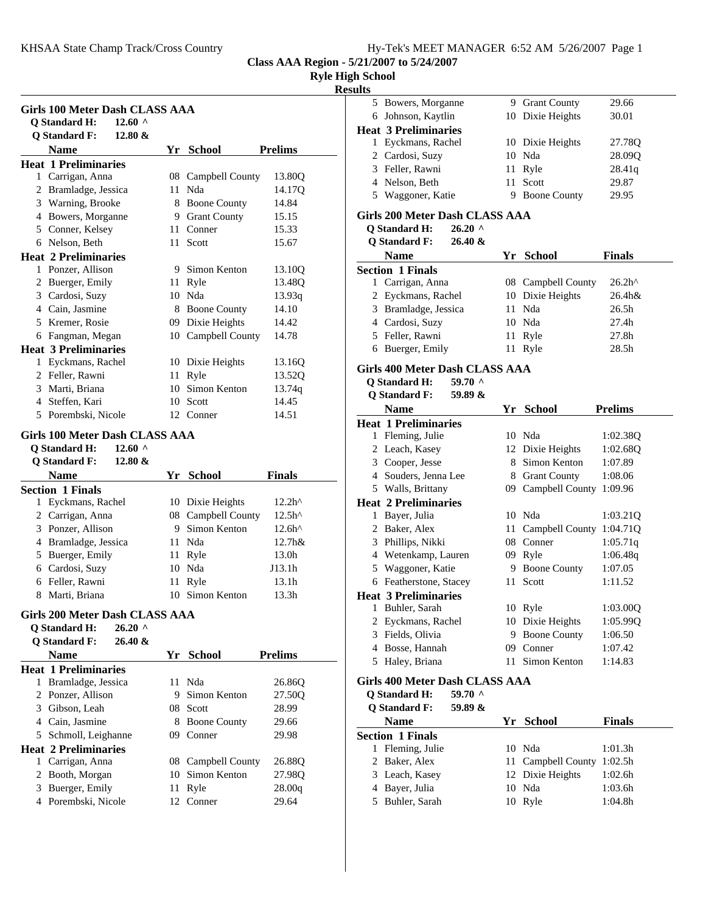**Class AAA Region - 5/21/2007 to 5/24/2007**

# **Ryle High School**

**Results**

|   | <b>Q</b> Standard H:                    | 12.60 $\land$ |    |                                    |                   |
|---|-----------------------------------------|---------------|----|------------------------------------|-------------------|
|   | <b>Q</b> Standard F:                    | 12.80 &       |    |                                    |                   |
|   | <b>Name</b>                             |               |    | Yr School                          | <b>Prelims</b>    |
|   | <b>Heat 1 Preliminaries</b>             |               |    |                                    |                   |
|   | 1 Carrigan, Anna                        |               | 08 | Campbell County                    | 13.80Q            |
|   | 2 Bramladge, Jessica                    |               | 11 | Nda                                | 14.17Q            |
|   | 3 Warning, Brooke                       |               |    | 8 Boone County                     | 14.84             |
|   | 4 Bowers, Morganne                      |               |    | 9 Grant County                     | 15.15             |
|   | 5 Conner, Kelsey                        |               |    | 11 Conner                          | 15.33             |
|   | 6 Nelson, Beth                          |               |    | 11 Scott                           | 15.67             |
|   | <b>Heat 2 Preliminaries</b>             |               |    |                                    |                   |
|   | 1 Ponzer, Allison                       |               | 9  | Simon Kenton                       | 13.10Q            |
|   | 2 Buerger, Emily                        |               |    | 11 Ryle                            | 13.48Q            |
|   | 3 Cardosi, Suzy                         |               |    | 10 Nda                             | 13.93q            |
|   | 4 Cain, Jasmine                         |               |    | 8 Boone County                     | 14.10             |
|   | 5 Kremer, Rosie                         |               |    | 09 Dixie Heights                   | 14.42             |
|   | 6 Fangman, Megan                        |               |    | 10 Campbell County                 | 14.78             |
|   | <b>Heat 3 Preliminaries</b>             |               |    |                                    |                   |
|   | 1 Eyckmans, Rachel                      |               |    | 10 Dixie Heights                   | 13.16Q            |
|   | 2 Feller, Rawni                         |               | 11 | Ryle                               | 13.52Q            |
|   | 3 Marti, Briana                         |               | 10 | Simon Kenton                       | 13.74q            |
|   | 4 Steffen, Kari                         |               | 10 | Scott                              | 14.45             |
|   | 5 Porembski, Nicole                     |               |    | 12 Conner                          | 14.51             |
|   | Girls 100 Meter Dash CLASS AAA          |               |    |                                    |                   |
|   | <b>Q</b> Standard H:                    | $12.60$ ^     |    |                                    |                   |
|   | <b>Q</b> Standard F:                    | 12.80 $&$     |    |                                    |                   |
|   | <b>Name</b>                             |               |    |                                    |                   |
|   |                                         |               |    | Yr School                          | Finals            |
|   | <b>Section 1 Finals</b>                 |               |    |                                    |                   |
| 1 | Eyckmans, Rachel                        |               |    | 10 Dixie Heights                   | 12.2 <sup>h</sup> |
|   | 2 Carrigan, Anna                        |               |    | 08 Campbell County<br>Simon Kenton | 12.5 <sup>h</sup> |
|   | 3 Ponzer, Allison                       |               | 9. |                                    | $12.6h^{\wedge}$  |
|   | 4 Bramladge, Jessica                    |               | 11 | Nda                                | 12.7h&            |
|   | 5 Buerger, Emily                        |               | 11 | Ryle                               | 13.0h             |
|   | 6 Cardosi, Suzy                         |               | 10 | Nda                                | J13.1h            |
|   | 6 Feller, Rawni                         |               | 11 | Ryle                               | 13.1h             |
|   | 8 Marti, Briana                         |               |    | 10 Simon Kenton                    | 13.3h             |
|   | Girls 200 Meter Dash CLASS AAA          |               |    |                                    |                   |
|   | <b>Q</b> Standard H:                    | $26.20$ ^     |    |                                    |                   |
|   | <b>Q</b> Standard F:                    | $26.40 \&$    |    |                                    |                   |
|   |                                         |               |    | Yr School                          | <b>Prelims</b>    |
|   | <b>Name</b>                             |               |    |                                    |                   |
|   | <b>Heat 1 Preliminaries</b>             |               |    |                                    |                   |
|   | 1 Bramladge, Jessica                    |               | 11 | Nda                                | 26.860            |
|   | 2 Ponzer, Allison                       |               |    | 9 Simon Kenton                     | 27.50Q            |
|   | 3 Gibson, Leah                          |               |    | 08 Scott                           | 28.99             |
|   | 4 Cain, Jasmine                         |               |    | 8 Boone County                     | 29.66             |
|   | 5 Schmoll, Leighanne                    |               |    | 09 Conner                          | 29.98             |
|   | <b>Heat 2 Preliminaries</b>             |               |    |                                    |                   |
|   |                                         |               | 08 |                                    | 26.88Q            |
|   | 1 Carrigan, Anna                        |               | 10 | Campbell County<br>Simon Kenton    |                   |
|   | 2 Booth, Morgan                         |               | 11 |                                    | 27.98Q            |
|   | 3 Buerger, Emily<br>4 Porembski, Nicole |               | 12 | Ryle<br>Conner                     | 28.00q<br>29.64   |

| . |                             |   |                     |        |
|---|-----------------------------|---|---------------------|--------|
|   | 5 Bowers, Morganne          |   | 9 Grant County      | 29.66  |
|   | 6 Johnson, Kaytlin          |   | 10 Dixie Heights    | 30.01  |
|   | <b>Heat 3 Preliminaries</b> |   |                     |        |
|   | 1 Eyckmans, Rachel          |   | 10 Dixie Heights    | 27.78Q |
|   | 2 Cardosi, Suzy             |   | 10 Nda              | 28.09Q |
|   | 3 Feller, Rawni             |   | 11 Ryle             | 28.41q |
|   | 4 Nelson, Beth              |   | 11 Scott            | 29.87  |
|   | 5 Waggoner, Katie           | 9 | <b>Boone County</b> | 29.95  |
|   |                             |   |                     |        |

## **Girls 200 Meter Dash CLASS AAA**

**Q Standard H: 26.20 ^**

| <b>Name</b>             | Yr School          | <b>Finals</b>     |
|-------------------------|--------------------|-------------------|
| <b>Section 1 Finals</b> |                    |                   |
| 1 Carrigan, Anna        | 08 Campbell County | 26.2 <sup>h</sup> |
| 2 Eyckmans, Rachel      | 10 Dixie Heights   | $26.4h$ &         |
| 3 Bramladge, Jessica    | 11 Nda             | 26.5 <sub>h</sub> |
| 4 Cardosi, Suzy         | 10 Nda             | 27.4h             |
| 5 Feller, Rawni         | 11 Ryle            | 27.8h             |
| 6 Buerger, Emily        | 11 Ryle            | 28.5 <sub>h</sub> |
|                         |                    |                   |

#### **Girls 400 Meter Dash CLASS AAA**

**Q Standard H: 59.70 ^**

# **Q Standard F: 59.89 &**

|    | Name                                                                          | Yr  | <b>School</b>       | <b>Prelims</b> |
|----|-------------------------------------------------------------------------------|-----|---------------------|----------------|
|    | <b>Heat 1 Preliminaries</b>                                                   |     |                     |                |
| 1  | Fleming, Julie                                                                | 10  | Nda                 | 1:02.38Q       |
|    | 2 Leach, Kasey                                                                |     | 12 Dixie Heights    | 1:02.68Q       |
| 3  | Cooper, Jesse                                                                 | 8   | Simon Kenton        | 1:07.89        |
|    | 4 Souders, Jenna Lee                                                          | 8   | <b>Grant County</b> | 1:08.06        |
|    | 5 Walls, Brittany                                                             | 09. | Campbell County     | 1:09.96        |
|    | <b>Heat 2 Preliminaries</b>                                                   |     |                     |                |
| 1  | Bayer, Julia                                                                  |     | 10 Nda              | 1:03.21Q       |
|    | 2 Baker, Alex                                                                 | 11  | Campbell County     | 1:04.710       |
| 3  | Phillips, Nikki                                                               | 08  | Conner              | 1:05.71q       |
| 4  | Wetenkamp, Lauren                                                             | 09  | Ryle                | 1:06.48q       |
| 5. | Waggoner, Katie                                                               | 9   | <b>Boone County</b> | 1:07.05        |
| 6  | Featherstone, Stacey                                                          | 11  | Scott               | 1:11.52        |
|    | <b>Heat 3 Preliminaries</b>                                                   |     |                     |                |
| 1  | Buhler, Sarah                                                                 |     | 10 Ryle             | 1:03.00Q       |
|    | 2 Eyckmans, Rachel                                                            |     | 10 Dixie Heights    | 1:05.990       |
| 3  | Fields, Olivia                                                                | 9   | <b>Boone County</b> | 1:06.50        |
| 4  | Bosse, Hannah                                                                 | 09  | Conner              | 1:07.42        |
| 5  | Haley, Briana                                                                 | 11  | Simon Kenton        | 1:14.83        |
|    | $C_{\rm{m}}$ and $M_{\rm{e}}$ and $D_{\rm{c}}$ and $C_{\rm{r}}$ and $\Lambda$ |     |                     |                |

## **Girls 400 Meter Dash CLASS AAA**

**Q Standard H: 59.70 ^**

| <b>O</b> Standard F:    | 59.89 & |                    |               |
|-------------------------|---------|--------------------|---------------|
| <b>Name</b>             |         | Yr School          | <b>Finals</b> |
| <b>Section 1 Finals</b> |         |                    |               |
| 1 Fleming, Julie        |         | 10 Nda             | 1:01.3h       |
| 2 Baker, Alex           |         | 11 Campbell County | 1:02.5h       |
| 3 Leach, Kasey          |         | 12 Dixie Heights   | 1:02.6h       |
| 4 Bayer, Julia          |         | 10 Nda             | 1:03.6h       |
| 5 Buhler, Sarah         |         | 10 Ryle            | 1:04.8h       |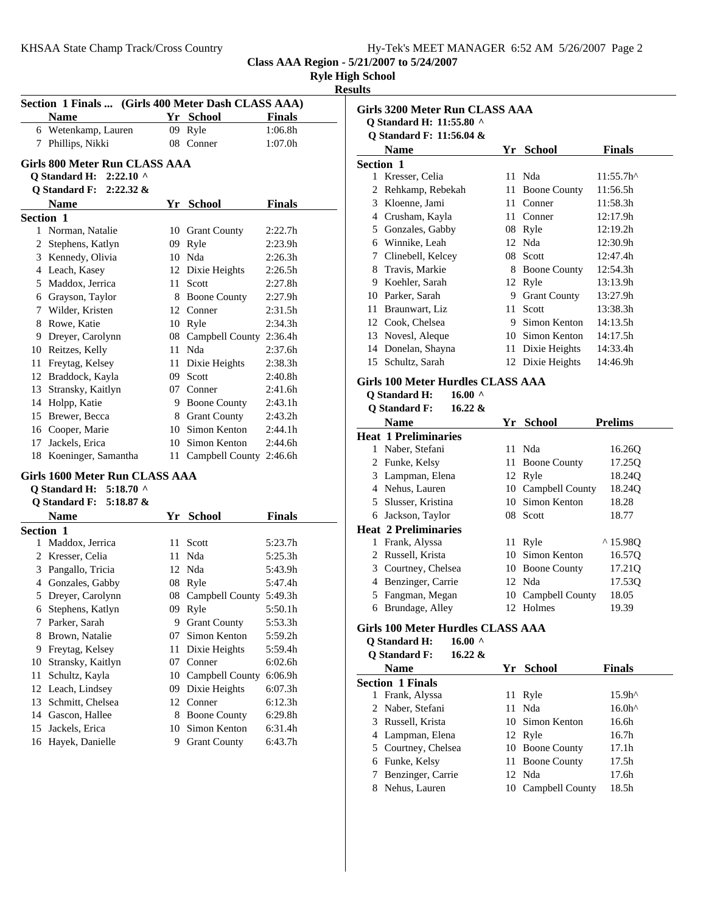| Hy-Tek's MEET MANAGER 6:52 AM 5/26/2007 Page 2 |
|------------------------------------------------|
|------------------------------------------------|

**Class AAA Region - 5/21/2007 to 5/24/2007 Ryle High School**

# **Results**

|                       | Section 1 Finals  (Girls 400 Meter Dash CLASS AAA) |    |                            |               |
|-----------------------|----------------------------------------------------|----|----------------------------|---------------|
|                       | <b>Name</b>                                        |    | Yr School                  | <b>Finals</b> |
|                       | 6 Wetenkamp, Lauren                                | 09 | Ryle                       | 1:06.8h       |
| 7                     | Phillips, Nikki                                    |    | 08 Conner                  | 1:07.0h       |
|                       |                                                    |    |                            |               |
|                       | Girls 800 Meter Run CLASS AAA                      |    |                            |               |
|                       | $2:22.10$ ^<br><b>Q</b> Standard H:                |    |                            |               |
|                       | Q Standard F:<br>$2:22.32 \&$                      |    |                            |               |
|                       | <b>Name</b>                                        |    | Yr School                  | Finals        |
| <b>Section 1</b><br>1 |                                                    |    |                            |               |
|                       | Norman, Natalie                                    |    | 10 Grant County            | 2:22.7h       |
|                       | 2 Stephens, Katlyn                                 |    | 09 Ryle                    | 2:23.9h       |
|                       | 3 Kennedy, Olivia                                  |    | 10 Nda                     | 2:26.3h       |
|                       | 4 Leach, Kasey                                     |    | 12 Dixie Heights           | 2:26.5h       |
|                       | 5 Maddox, Jerrica                                  |    | 11 Scott                   | 2:27.8h       |
|                       | 6 Grayson, Taylor                                  |    | 8 Boone County             | 2:27.9h       |
|                       | 7 Wilder, Kristen                                  |    | 12 Conner                  | 2:31.5h       |
|                       | 8 Rowe, Katie                                      |    | 10 Ryle                    | 2:34.3h       |
|                       | 9 Dreyer, Carolynn                                 |    | 08 Campbell County 2:36.4h |               |
|                       | 10 Reitzes, Kelly                                  |    | 11 Nda                     | 2:37.6h       |
| 11                    | Freytag, Kelsey                                    |    | 11 Dixie Heights           | 2:38.3h       |
|                       | 12 Braddock, Kayla                                 |    | 09 Scott                   | 2:40.8h       |
|                       | 13 Stransky, Kaitlyn                               |    | 07 Conner                  | 2:41.6h       |
|                       | 14 Holpp, Katie                                    |    | 9 Boone County             | 2:43.1h       |
|                       | 15 Brewer, Becca                                   |    | 8 Grant County             | 2:43.2h       |
|                       | 16 Cooper, Marie                                   |    | 10 Simon Kenton            | 2:44.1h       |
|                       | 17 Jackels, Erica                                  |    | 10 Simon Kenton            | 2:44.6h       |
| 18                    | Koeninger, Samantha                                |    | 11 Campbell County 2:46.6h |               |
|                       | Girls 1600 Meter Run CLASS AAA                     |    |                            |               |
|                       | <b>Q</b> Standard H:<br>5:18.70 $\land$            |    |                            |               |
|                       | <b>Q</b> Standard F:<br>5:18.87 &                  |    |                            |               |
|                       | <b>Name</b>                                        |    | Yr School                  | <b>Finals</b> |
| Section 1             |                                                    |    |                            |               |
| 1                     | Maddox, Jerrica                                    | 11 | Scott                      | 5:23.7h       |
|                       | 2 Kresser, Celia                                   | 11 | Nda                        | 5:25.3h       |
|                       | 3 Pangallo, Tricia                                 |    | 12 Nda                     | 5:43.9h       |
|                       | 4 Gonzales, Gabby                                  |    | 08 Ryle                    | 5:47.4h       |
| 5                     | Dreyer, Carolynn                                   |    | 08 Campbell County 5:49.3h |               |
| 6                     | Stephens, Katlyn                                   |    | 09 Ryle                    | 5:50.1h       |
| 7                     | Parker, Sarah                                      |    | 9 Grant County             | 5:53.3h       |
| 8                     | Brown, Natalie                                     | 07 | Simon Kenton               | 5:59.2h       |
| 9                     | Freytag, Kelsey                                    | 11 | Dixie Heights              | 5:59.4h       |
| 10                    | Stransky, Kaitlyn                                  | 07 | Conner                     | 6:02.6h       |
| 11                    | Schultz, Kayla                                     | 10 | Campbell County            | 6:06.9h       |
| 12                    | Leach, Lindsey                                     | 09 | Dixie Heights              | 6:07.3h       |
| 13                    | Schmitt, Chelsea                                   | 12 | Conner                     | 6:12.3h       |
| 14                    | Gascon, Hallee                                     | 8  | <b>Boone County</b>        | 6:29.8h       |
| 15                    | Jackels, Erica                                     |    | 10 Simon Kenton            | 6:31.4h       |
| 16                    | Hayek, Danielle                                    | 9  | <b>Grant County</b>        | 6:43.7h       |
|                       |                                                    |    |                            |               |

|    | Girls 3200 Meter Run CLASS AAA                 |     |                     |                     |
|----|------------------------------------------------|-----|---------------------|---------------------|
|    | Q Standard H: 11:55.80 ^                       |     |                     |                     |
|    | <b>Q</b> Standard F: 11:56.04 &<br><b>Name</b> |     | Yr School           | <b>Finals</b>       |
|    | <b>Section 1</b>                               |     |                     |                     |
|    | 1 Kresser, Celia                               | 11  | Nda                 | $11:55.7h^{\wedge}$ |
| 2  | Rehkamp, Rebekah                               | 11  | <b>Boone County</b> | 11:56.5h            |
| 3  | Kloenne, Jami                                  | 11  | Conner              | 11:58.3h            |
| 4  | Crusham, Kayla                                 | 11  | Conner              | 12:17.9h            |
| 5  | Gonzales, Gabby                                |     | 08 Ryle             | 12:19.2h            |
| 6  | Winnike, Leah                                  |     | 12 Nda              | 12:30.9h            |
| 7  | Clinebell, Kelcey                              | 08  | Scott               | 12:47.4h            |
| 8  | Travis, Markie                                 | 8   | <b>Boone County</b> | 12:54.3h            |
| 9  | Koehler, Sarah                                 |     | 12 Ryle             | 13:13.9h            |
|    | 10 Parker, Sarah                               | 9   | <b>Grant County</b> | 13:27.9h            |
| 11 | Braunwart, Liz                                 | 11  | Scott               | 13:38.3h            |
| 12 | Cook, Chelsea                                  |     | 9 Simon Kenton      | 14:13.5h            |
| 13 | Novesl, Aleque                                 |     | 10 Simon Kenton     | 14:17.5h            |
| 14 | Donelan, Shayna                                | 11- | Dixie Heights       | 14:33.4h            |
|    | 15 Schultz, Sarah                              |     | 12 Dixie Heights    | 14:46.9h            |
|    | Girls 100 Meter Hurdles CLASS AAA              |     |                     |                     |
|    | 16.00 $\land$<br><b>Q</b> Standard H:          |     |                     |                     |
|    | <b>Q</b> Standard F:<br>$16.22 \&$             |     |                     |                     |
|    | <b>Name</b>                                    | Yr  | School              | <b>Prelims</b>      |
|    | <b>Heat 1 Preliminaries</b>                    |     |                     |                     |
| 1  | Naber, Stefani                                 | 11  | Nda                 | 16.26Q              |
| 2  | Funke, Kelsy                                   | 11  | <b>Boone County</b> | 17.25Q              |
| 3  | Lampman, Elena                                 |     | 12 Ryle             | 18.24Q              |
|    |                                                |     |                     |                     |

|    | <b>Name</b>                 | Υr | School             | Prelims           |
|----|-----------------------------|----|--------------------|-------------------|
|    | <b>Heat 1 Preliminaries</b> |    |                    |                   |
| 1  | Naber, Stefani              |    | 11 Nda             | 16.260            |
|    | 2 Funke, Kelsy              |    | 11 Boone County    | 17.250            |
|    | 3 Lampman, Elena            |    | 12 Ryle            | 18.240            |
|    | 4 Nehus, Lauren             |    | 10 Campbell County | 18.240            |
|    | 5 Slusser, Kristina         |    | 10 Simon Kenton    | 18.28             |
| 6  | Jackson, Taylor             |    | 08 Scott           | 18.77             |
|    | <b>Heat 2 Preliminaries</b> |    |                    |                   |
| 1  | Frank, Alyssa               |    | 11 Ryle            | $^{\wedge}15.980$ |
|    | 2 Russell, Krista           |    | 10 Simon Kenton    | 16.570            |
|    | 3 Courtney, Chelsea         |    | 10 Boone County    | 17.21Q            |
| 4  | Benzinger, Carrie           |    | 12 Nda             | 17.530            |
| 5. | Fangman, Megan              |    | 10 Campbell County | 18.05             |
| 6  | Brundage, Alley             |    | 12 Holmes          | 19.39             |
|    |                             |    |                    |                   |

# **Girls 100 Meter Hurdles CLASS AAA**

**Q Standard H: 16.00 ^**

| <b>Q</b> Standard F: | $16.22 \&$ |  |
|----------------------|------------|--|
|                      |            |  |

|   | <b>Name</b>             |    | Yr School       | <b>Finals</b>     |
|---|-------------------------|----|-----------------|-------------------|
|   | <b>Section 1 Finals</b> |    |                 |                   |
| 1 | Frank, Alyssa           |    | 11 Ryle         | 15.9 <sup>h</sup> |
|   | 2 Naber, Stefani        |    | 11 Nda          | 16.0 <sup>h</sup> |
|   | 3 Russell, Krista       |    | 10 Simon Kenton | 16.6h             |
|   | 4 Lampman, Elena        |    | 12 Ryle         | 16.7 <sub>h</sub> |
|   | 5 Courtney, Chelsea     |    | 10 Boone County | 17.1 <sub>h</sub> |
|   | 6 Funke, Kelsy          |    | 11 Boone County | 17.5h             |
|   | 7 Benzinger, Carrie     |    | 12 Nda          | 17.6h             |
| 8 | Nehus, Lauren           | 10 | Campbell County | 18.5h             |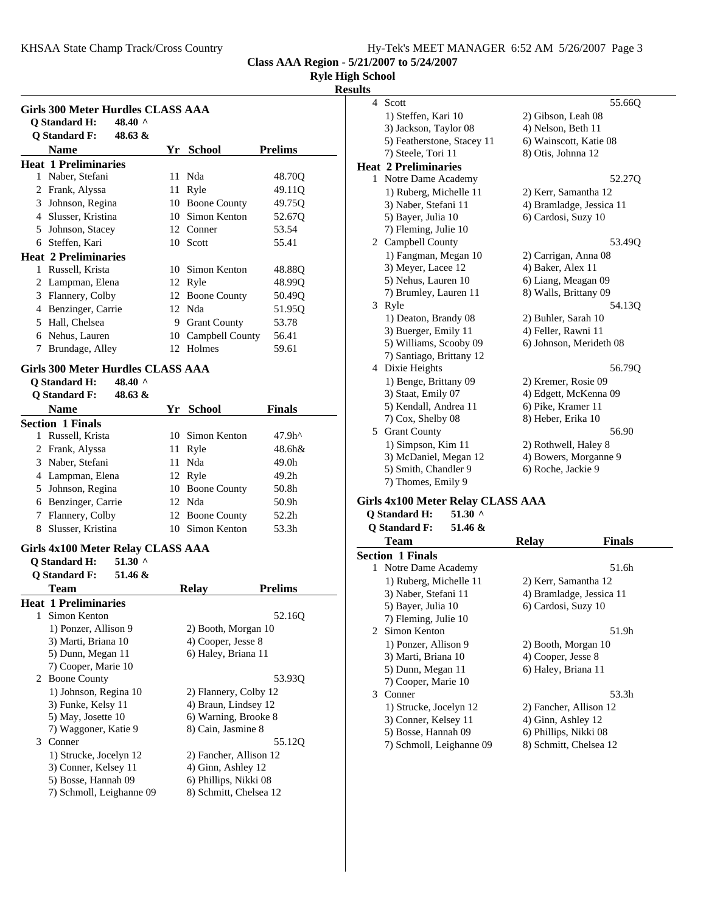|  |  |  | Hy-Tek's MEET MANAGER 6:52 AM 5/26/2007 Page 3 |  |  |  |
|--|--|--|------------------------------------------------|--|--|--|
|--|--|--|------------------------------------------------|--|--|--|

**Class AAA Region - 5/21/2007 to 5/24/2007**

**Ryle High School**

#### **Results**

|   | Girls 300 Meter Hurdles CLASS AAA<br>Q Standard H:<br>48.40 $^{\circ}$<br><b>O</b> Standard F:<br>48.63 & |     |                     |                    |
|---|-----------------------------------------------------------------------------------------------------------|-----|---------------------|--------------------|
|   | <b>Name</b>                                                                                               | Yr. | <b>School</b>       | <b>Prelims</b>     |
|   | <b>Heat 1 Preliminaries</b>                                                                               |     |                     |                    |
| 1 | Naber, Stefani                                                                                            |     | 11 Nda              | 48.70O             |
| 2 | Frank, Alyssa                                                                                             | 11  | Ryle                | 49.11 <sub>O</sub> |
| 3 | Johnson, Regina                                                                                           | 10  | <b>Boone County</b> | 49.75 <sub>O</sub> |
| 4 | Slusser, Kristina                                                                                         |     | 10 Simon Kenton     | 52.67Q             |
| 5 | Johnson, Stacey                                                                                           |     | 12 Conner           | 53.54              |
| 6 | Steffen, Kari                                                                                             |     | 10 Scott            | 55.41              |
|   | <b>Heat 2 Preliminaries</b>                                                                               |     |                     |                    |
| 1 | Russell, Krista                                                                                           | 10. | Simon Kenton        | 48.88O             |
| 2 | Lampman, Elena                                                                                            |     | 12 Ryle             | 48.99O             |
| 3 | Flannery, Colby                                                                                           |     | 12 Boone County     | 50.49 <sub>O</sub> |
| 4 | Benzinger, Carrie                                                                                         |     | 12 Nda              | 51.950             |
| 5 | Hall, Chelsea                                                                                             | 9   | <b>Grant County</b> | 53.78              |
| 6 | Nehus, Lauren                                                                                             | 10  | Campbell County     | 56.41              |
| 7 | Brundage, Alley                                                                                           |     | 12 Holmes           | 59.61              |

# **Girls 300 Meter Hurdles CLASS AAA**

**Q Standard H: 48.40 ^**

| 48.63 &<br><b>O</b> Standard F: |                 |                   |  |
|---------------------------------|-----------------|-------------------|--|
| Name                            | Yr School       | <b>Finals</b>     |  |
| <b>Section 1 Finals</b>         |                 |                   |  |
| Russell, Krista                 | 10 Simon Kenton | 47.9 <sup>h</sup> |  |
| 2 Frank, Alyssa                 | 11 Ryle         | 48.6h&            |  |
| 3 Naber, Stefani                | 11 Nda          | 49.0h             |  |
| 4 Lampman, Elena                | 12 Ryle         | 49.2h             |  |
| 5 Johnson, Regina               | 10 Boone County | 50.8h             |  |
| Benzinger, Carrie<br>6          | 12 Nda          | 50.9h             |  |
| Flannery, Colby                 | 12 Boone County | 52.2h             |  |
| Slusser, Kristina<br>8          | Simon Kenton    | 53.3h             |  |

## **Girls 4x100 Meter Relay CLASS AAA**

**Q Standard H: 51.30 ^**

|    | 51.46 &<br><b>O</b> Standard F: |                        |                |
|----|---------------------------------|------------------------|----------------|
|    | Team                            | <b>Relay</b>           | <b>Prelims</b> |
|    | <b>Heat 1 Preliminaries</b>     |                        |                |
| 1. | Simon Kenton                    |                        | 52.160         |
|    | 1) Ponzer, Allison 9            | 2) Booth, Morgan 10    |                |
|    | 3) Marti, Briana 10             | 4) Cooper, Jesse 8     |                |
|    | 5) Dunn, Megan 11               | 6) Haley, Briana 11    |                |
|    | 7) Cooper, Marie 10             |                        |                |
|    | 2 Boone County                  |                        | 53.930         |
|    | 1) Johnson, Regina 10           | 2) Flannery, Colby 12  |                |
|    | 3) Funke, Kelsy 11              | 4) Braun, Lindsey 12   |                |
|    | 5) May, Josette 10              | 6) Warning, Brooke 8   |                |
|    | 7) Waggoner, Katie 9            | 8) Cain, Jasmine 8     |                |
| 3  | Conner                          |                        | 55.12Q         |
|    | 1) Strucke, Jocelyn 12          | 2) Fancher, Allison 12 |                |
|    | 3) Conner, Kelsey 11            | 4) Ginn, Ashley 12     |                |
|    | 5) Bosse, Hannah 09             | 6) Phillips, Nikki 08  |                |
|    | 7) Schmoll, Leighanne 09        | 8) Schmitt, Chelsea 12 |                |
|    |                                 |                        |                |

| 4 Scott                     | 55.66Q                   |
|-----------------------------|--------------------------|
| 1) Steffen, Kari 10         | 2) Gibson, Leah 08       |
| 3) Jackson, Taylor 08       | 4) Nelson, Beth 11       |
| 5) Featherstone, Stacey 11  | 6) Wainscott, Katie 08   |
| 7) Steele, Tori 11          | 8) Otis, Johnna 12       |
| <b>Heat 2 Preliminaries</b> |                          |
| 1 Notre Dame Academy        | 52.27Q                   |
| 1) Ruberg, Michelle 11      | 2) Kerr, Samantha 12     |
| 3) Naber, Stefani 11        | 4) Bramladge, Jessica 11 |
| 5) Bayer, Julia 10          | 6) Cardosi, Suzy 10      |
| 7) Fleming, Julie 10        |                          |
| 2 Campbell County           | 53.49Q                   |
| 1) Fangman, Megan 10        | 2) Carrigan, Anna 08     |
| 3) Meyer, Lacee 12          | 4) Baker, Alex 11        |
| 5) Nehus, Lauren 10         | 6) Liang, Meagan 09      |
| 7) Brumley, Lauren 11       | 8) Walls, Brittany 09    |
| 3 Ryle                      | 54.13Q                   |
| 1) Deaton, Brandy 08        | 2) Buhler, Sarah 10      |
| 3) Buerger, Emily 11        | 4) Feller, Rawni 11      |
| 5) Williams, Scooby 09      | 6) Johnson, Merideth 08  |
| 7) Santiago, Brittany 12    |                          |
| 4 Dixie Heights             | 56.790                   |
| 1) Benge, Brittany 09       | 2) Kremer, Rosie 09      |
| 3) Staat, Emily 07          | 4) Edgett, McKenna 09    |
| 5) Kendall, Andrea 11       | 6) Pike, Kramer 11       |
| 7) Cox, Shelby 08           | 8) Heber, Erika 10       |
| 5 Grant County              | 56.90                    |
| 1) Simpson, Kim 11          | 2) Rothwell, Haley 8     |
| 3) McDaniel, Megan 12       | 4) Bowers, Morganne 9    |
| 5) Smith, Chandler 9        | 6) Roche, Jackie 9       |
| 7) Thomes, Emily 9          |                          |

#### **Girls 4x100 Meter Relay CLASS AAA**

## **Q Standard H: 51.30 ^**

| <b>O</b> Standard F:<br>51.46 & |                          |  |
|---------------------------------|--------------------------|--|
| <b>Team</b>                     | Finals<br><b>Relay</b>   |  |
| <b>Section 1 Finals</b>         |                          |  |
| 1 Notre Dame Academy            | 51.6h                    |  |
| 1) Ruberg, Michelle 11          | 2) Kerr, Samantha 12     |  |
| 3) Naber, Stefani 11            | 4) Bramladge, Jessica 11 |  |
| 5) Bayer, Julia 10              | 6) Cardosi, Suzy 10      |  |
| 7) Fleming, Julie 10            |                          |  |
| 2 Simon Kenton                  | 51.9h                    |  |
| 1) Ponzer, Allison 9            | 2) Booth, Morgan 10      |  |
| 3) Marti, Briana 10             | 4) Cooper, Jesse 8       |  |
| 5) Dunn, Megan 11               | 6) Haley, Briana 11      |  |
| 7) Cooper, Marie 10             |                          |  |
| 3 Conner                        | 53.3h                    |  |
| 1) Strucke, Jocelyn 12          | 2) Fancher, Allison 12   |  |
| 3) Conner, Kelsey 11            | 4) Ginn, Ashley 12       |  |
| 5) Bosse, Hannah 09             | 6) Phillips, Nikki 08    |  |
| 7) Schmoll, Leighanne 09        | 8) Schmitt, Chelsea 12   |  |
|                                 |                          |  |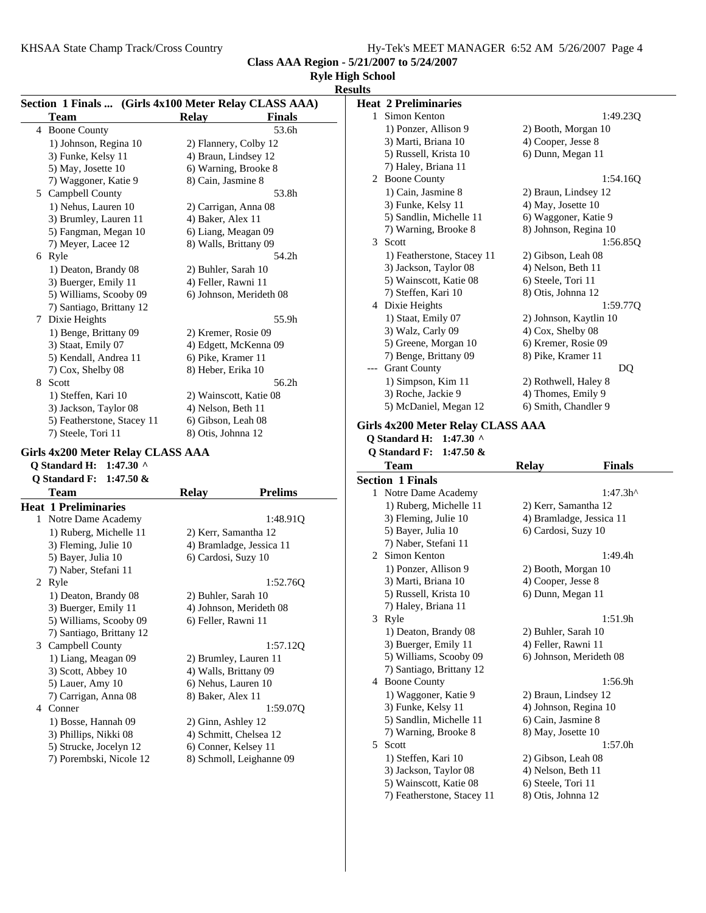5) Wainscott, Katie 08 6) Steele, Tori 11 7) Featherstone, Stacey 11 8) Otis, Johnna 12

**Class AAA Region - 5/21/2007 to 5/24/2007**

# **Ryle High School**

|   |                                                       |                          |                | <b>Results</b>                    |                        |                          |
|---|-------------------------------------------------------|--------------------------|----------------|-----------------------------------|------------------------|--------------------------|
|   | Section 1 Finals  (Girls 4x100 Meter Relay CLASS AAA) |                          |                | <b>Heat 2 Preliminaries</b>       |                        |                          |
|   | <b>Team</b>                                           | <b>Relay</b>             | <b>Finals</b>  | 1 Simon Kenton                    |                        | 1:49.23Q                 |
|   | 4 Boone County                                        |                          | 53.6h          | 1) Ponzer, Allison 9              | 2) Booth, Morgan 10    |                          |
|   | 1) Johnson, Regina 10                                 | 2) Flannery, Colby 12    |                | 3) Marti, Briana 10               | 4) Cooper, Jesse 8     |                          |
|   | 3) Funke, Kelsy 11                                    | 4) Braun, Lindsey 12     |                | 5) Russell, Krista 10             | 6) Dunn, Megan 11      |                          |
|   | 5) May, Josette 10                                    | 6) Warning, Brooke 8     |                | 7) Haley, Briana 11               |                        |                          |
|   | 7) Waggoner, Katie 9                                  | 8) Cain, Jasmine 8       |                | 2 Boone County                    |                        | 1:54.16Q                 |
|   | 5 Campbell County                                     |                          | 53.8h          | 1) Cain, Jasmine 8                | 2) Braun, Lindsey 12   |                          |
|   | 1) Nehus, Lauren 10                                   | 2) Carrigan, Anna 08     |                | 3) Funke, Kelsy 11                | 4) May, Josette 10     |                          |
|   | 3) Brumley, Lauren 11                                 | 4) Baker, Alex 11        |                | 5) Sandlin, Michelle 11           | 6) Waggoner, Katie 9   |                          |
|   | 5) Fangman, Megan 10                                  | 6) Liang, Meagan 09      |                | 7) Warning, Brooke 8              | 8) Johnson, Regina 10  |                          |
|   | 7) Meyer, Lacee 12                                    | 8) Walls, Brittany 09    |                | 3 Scott                           |                        | 1:56.850                 |
|   | 6 Ryle                                                |                          | 54.2h          | 1) Featherstone, Stacey 11        | 2) Gibson, Leah 08     |                          |
|   | 1) Deaton, Brandy 08                                  | 2) Buhler, Sarah 10      |                | 3) Jackson, Taylor 08             | 4) Nelson, Beth 11     |                          |
|   | 3) Buerger, Emily 11                                  | 4) Feller, Rawni 11      |                | 5) Wainscott, Katie 08            | 6) Steele, Tori 11     |                          |
|   | 5) Williams, Scooby 09                                | 6) Johnson, Merideth 08  |                | 7) Steffen, Kari 10               | 8) Otis, Johnna 12     |                          |
|   | 7) Santiago, Brittany 12                              |                          |                | 4 Dixie Heights                   |                        | 1:59.77Q                 |
| 7 | Dixie Heights                                         |                          | 55.9h          | 1) Staat, Emily 07                | 2) Johnson, Kaytlin 10 |                          |
|   | 1) Benge, Brittany 09                                 | 2) Kremer, Rosie 09      |                | 3) Walz, Carly 09                 | 4) Cox, Shelby 08      |                          |
|   | 3) Staat, Emily 07                                    | 4) Edgett, McKenna 09    |                | 5) Greene, Morgan 10              | 6) Kremer, Rosie 09    |                          |
|   | 5) Kendall, Andrea 11                                 | 6) Pike, Kramer 11       |                | 7) Benge, Brittany 09             | 8) Pike, Kramer 11     |                          |
|   | 7) Cox, Shelby 08                                     | 8) Heber, Erika 10       |                | <b>Grant County</b><br>$---$      |                        | DQ                       |
|   | 8 Scott                                               |                          | 56.2h          | 1) Simpson, Kim 11                | 2) Rothwell, Haley 8   |                          |
|   | 1) Steffen, Kari 10                                   | 2) Wainscott, Katie 08   |                | 3) Roche, Jackie 9                | 4) Thomes, Emily 9     |                          |
|   | 3) Jackson, Taylor 08                                 | 4) Nelson, Beth 11       |                | 5) McDaniel, Megan 12             | 6) Smith, Chandler 9   |                          |
|   | 5) Featherstone, Stacey 11                            | 6) Gibson, Leah 08       |                |                                   |                        |                          |
|   | 7) Steele, Tori 11                                    | 8) Otis, Johnna 12       |                | Girls 4x200 Meter Relay CLASS AAA |                        |                          |
|   |                                                       |                          |                | Q Standard H: 1:47.30 ^           |                        |                          |
|   | Girls 4x200 Meter Relay CLASS AAA                     |                          |                | Q Standard F: 1:47.50 &           |                        |                          |
|   | Q Standard H: 1:47.30 ^                               |                          |                | <b>Team</b>                       | <b>Relay</b>           | <b>Finals</b>            |
|   | Q Standard F: 1:47.50 &                               |                          |                | <b>Section 1 Finals</b>           |                        |                          |
|   | <b>Team</b>                                           | <b>Relay</b>             | <b>Prelims</b> | 1 Notre Dame Academy              |                        | $1:47.3h^{\wedge}$       |
|   | <b>Heat 1 Preliminaries</b>                           |                          |                | 1) Ruberg, Michelle 11            | 2) Kerr, Samantha 12   |                          |
|   | 1 Notre Dame Academy                                  |                          | 1:48.91Q       | 3) Fleming, Julie 10              |                        | 4) Bramladge, Jessica 11 |
|   | 1) Ruberg, Michelle 11                                | 2) Kerr, Samantha 12     |                | 5) Bayer, Julia 10                | 6) Cardosi, Suzy 10    |                          |
|   | 3) Fleming, Julie 10                                  | 4) Bramladge, Jessica 11 |                | 7) Naber, Stefani 11              |                        |                          |
|   | 5) Bayer, Julia 10                                    | 6) Cardosi, Suzy 10      |                | 2 Simon Kenton                    |                        | 1:49.4h                  |
|   | 7) Naber, Stefani 11                                  |                          |                | 1) Ponzer, Allison 9              | 2) Booth, Morgan 10    |                          |
|   | 2 Ryle                                                |                          | 1:52.76Q       | 3) Marti, Briana 10               | 4) Cooper, Jesse 8     |                          |
|   | 1) Deaton, Brandy 08                                  | 2) Buhler, Sarah 10      |                | 5) Russell, Krista 10             | 6) Dunn, Megan 11      |                          |
|   | 3) Buerger, Emily 11                                  | 4) Johnson, Merideth 08  |                | 7) Haley, Briana 11               |                        |                          |
|   | 5) Williams, Scooby 09                                | 6) Feller, Rawni 11      |                | 3 Ryle                            |                        | 1:51.9h                  |
|   | 7) Santiago, Brittany 12                              |                          |                | 1) Deaton, Brandy 08              | 2) Buhler, Sarah 10    |                          |
|   | 3 Campbell County                                     |                          | 1:57.12Q       | 3) Buerger, Emily 11              | 4) Feller, Rawni 11    |                          |
|   | 1) Liang, Meagan 09                                   | 2) Brumley, Lauren 11    |                | 5) Williams, Scooby 09            |                        | 6) Johnson, Merideth 08  |
|   | 3) Scott, Abbey 10                                    | 4) Walls, Brittany 09    |                | 7) Santiago, Brittany 12          |                        |                          |
|   | 5) Lauer, Amy 10                                      | 6) Nehus, Lauren 10      |                | 4 Boone County                    |                        | 1:56.9h                  |
|   | 7) Carrigan, Anna 08                                  | 8) Baker, Alex 11        |                | 1) Waggoner, Katie 9              | 2) Braun, Lindsey 12   |                          |
|   | 4 Conner                                              |                          | 1:59.07Q       | 3) Funke, Kelsy 11                | 4) Johnson, Regina 10  |                          |
|   |                                                       |                          |                | 5) Sandlin, Michelle 11           | 6) Cain, Jasmine 8     |                          |
|   | 1) Bosse, Hannah 09                                   | 2) Ginn, Ashley 12       |                | 7) Warning, Brooke 8              | 8) May, Josette 10     |                          |
|   | 3) Phillips, Nikki 08                                 | 4) Schmitt, Chelsea 12   |                | 5 Scott                           |                        | 1:57.0h                  |
|   | 5) Strucke, Jocelyn 12                                | 6) Conner, Kelsey 11     |                | 1) Steffen, Kari 10               |                        |                          |
|   | 7) Porembski, Nicole 12                               | 8) Schmoll, Leighanne 09 |                |                                   | 2) Gibson, Leah 08     |                          |
|   |                                                       |                          |                | 3) Jackson, Taylor 08             | 4) Nelson, Beth 11     |                          |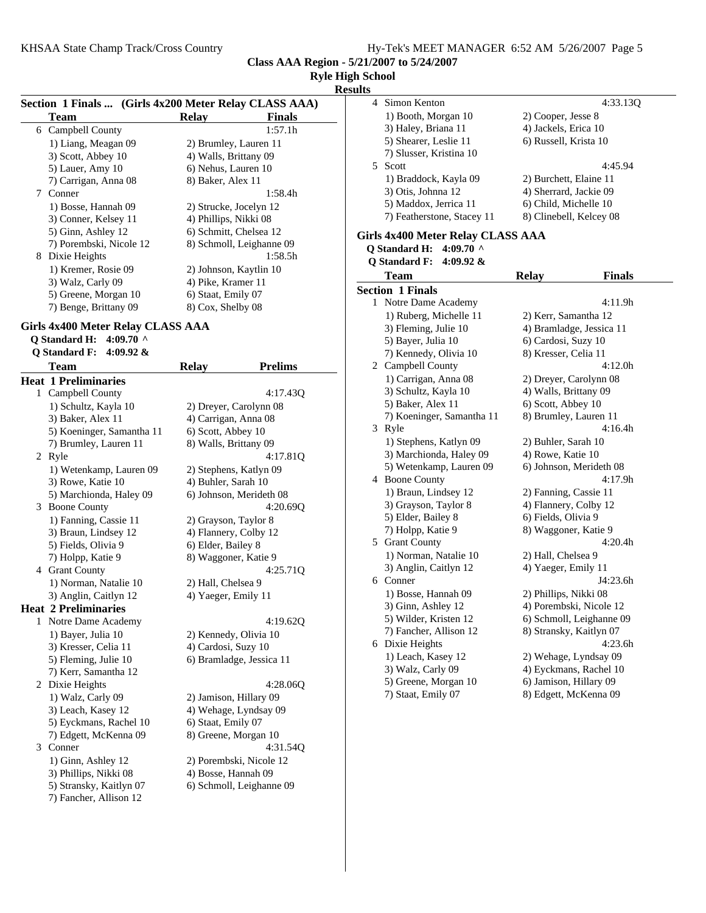**Class AAA Region - 5/21/2007 to 5/24/2007**

#### **Ryle High School**

**Results**

| Section 1 Finals  (Girls 4x200 Meter Relay CLASS AAA) |                               |  |
|-------------------------------------------------------|-------------------------------|--|
| Team                                                  | <b>Finals</b><br><b>Relay</b> |  |
| 6 Campbell County                                     | 1:57.1h                       |  |
| 1) Liang, Meagan 09                                   | 2) Brumley, Lauren 11         |  |
| 3) Scott, Abbey 10                                    | 4) Walls, Brittany 09         |  |
| 5) Lauer, Amy 10                                      | 6) Nehus, Lauren 10           |  |
| 7) Carrigan, Anna 08                                  | 8) Baker, Alex 11             |  |
| Conner<br>7                                           | 1:58.4h                       |  |
| 1) Bosse, Hannah 09                                   | 2) Strucke, Jocelyn 12        |  |
| 3) Conner, Kelsey 11                                  | 4) Phillips, Nikki 08         |  |
| 5) Ginn, Ashley 12                                    | 6) Schmitt, Chelsea 12        |  |
| 7) Porembski, Nicole 12                               | 8) Schmoll, Leighanne 09      |  |
| Dixie Heights<br>8                                    | 1:58.5h                       |  |
| 1) Kremer, Rosie 09                                   | 2) Johnson, Kaytlin 10        |  |
| 3) Walz, Carly 09                                     | 4) Pike, Kramer 11            |  |
| 5) Greene, Morgan 10                                  | 6) Staat, Emily 07            |  |
| 7) Benge, Brittany 09                                 | 8) Cox, Shelby 08             |  |
|                                                       |                               |  |

## **Girls 4x400 Meter Relay CLASS AAA**

#### **Q Standard H: 4:09.70 ^ Q Standard F: 4:09.92 &**

|              | Team                        | <b>Relay</b>           | <b>Prelims</b>           |
|--------------|-----------------------------|------------------------|--------------------------|
|              | <b>Heat 1 Preliminaries</b> |                        |                          |
| $\mathbf{1}$ | Campbell County             |                        | 4:17.43Q                 |
|              | 1) Schultz, Kayla 10        |                        | 2) Dreyer, Carolynn 08   |
|              | 3) Baker, Alex 11           | 4) Carrigan, Anna 08   |                          |
|              | 5) Koeninger, Samantha 11   | 6) Scott, Abbey 10     |                          |
|              | 7) Brumley, Lauren 11       | 8) Walls, Brittany 09  |                          |
| 2            | Ryle                        |                        | 4:17.81Q                 |
|              | 1) Wetenkamp, Lauren 09     | 2) Stephens, Katlyn 09 |                          |
|              | 3) Rowe, Katie 10           | 4) Buhler, Sarah 10    |                          |
|              | 5) Marchionda, Haley 09     |                        | 6) Johnson, Merideth 08  |
|              | 3 Boone County              |                        | 4:20.69Q                 |
|              | 1) Fanning, Cassie 11       | 2) Grayson, Taylor 8   |                          |
|              | 3) Braun, Lindsey 12        | 4) Flannery, Colby 12  |                          |
|              | 5) Fields, Olivia 9         | 6) Elder, Bailey 8     |                          |
|              | 7) Holpp, Katie 9           | 8) Waggoner, Katie 9   |                          |
|              | 4 Grant County              |                        | 4:25.71Q                 |
|              | 1) Norman, Natalie 10       | 2) Hall, Chelsea 9     |                          |
|              | 3) Anglin, Caitlyn 12       | 4) Yaeger, Emily 11    |                          |
|              | <b>Heat 2 Preliminaries</b> |                        |                          |
| 1            | Notre Dame Academy          |                        | 4:19.62Q                 |
|              | 1) Bayer, Julia 10          | 2) Kennedy, Olivia 10  |                          |
|              | 3) Kresser, Celia 11        | 4) Cardosi, Suzy 10    |                          |
|              | 5) Fleming, Julie 10        |                        | 6) Bramladge, Jessica 11 |
|              | 7) Kerr, Samantha 12        |                        |                          |
| 2            | Dixie Heights               |                        | 4:28.06Q                 |
|              | 1) Walz, Carly 09           | 2) Jamison, Hillary 09 |                          |
|              | 3) Leach, Kasey 12          |                        | 4) Wehage, Lyndsay 09    |
|              | 5) Eyckmans, Rachel 10      | 6) Staat, Emily 07     |                          |
|              | 7) Edgett, McKenna 09       | 8) Greene, Morgan 10   |                          |
| 3            | Conner                      |                        | 4:31.54Q                 |
|              | 1) Ginn, Ashley 12          |                        | 2) Porembski, Nicole 12  |
|              | 3) Phillips, Nikki 08       | 4) Bosse, Hannah 09    |                          |
|              | 5) Stransky, Kaitlyn 07     |                        | 6) Schmoll, Leighanne 09 |
|              | 7) Fancher, Allison 12      |                        |                          |
|              |                             |                        |                          |

| споэ                       |                         |
|----------------------------|-------------------------|
|                            |                         |
| 4 Simon Kenton             | 4:33.130                |
| 1) Booth, Morgan 10        | 2) Cooper, Jesse 8      |
| 3) Haley, Briana 11        | 4) Jackels, Erica 10    |
| 5) Shearer, Leslie 11      | 6) Russell, Krista 10   |
| 7) Slusser, Kristina 10    |                         |
| 5 Scott                    | 4:45.94                 |
| 1) Braddock, Kayla 09      | 2) Burchett, Elaine 11  |
| 3) Otis, Johnna 12         | 4) Sherrard, Jackie 09  |
| 5) Maddox, Jerrica 11      | 6) Child, Michelle 10   |
| 7) Featherstone, Stacey 11 | 8) Clinebell, Kelcey 08 |
|                            |                         |

# **Girls 4x400 Meter Relay CLASS AAA**

# **Q Standard H: 4:09.70 ^**

|   | <b>Q</b> Standard F:<br>4:09.92 $\&$ |                          |               |
|---|--------------------------------------|--------------------------|---------------|
|   | Team                                 | <b>Relay</b>             | <b>Finals</b> |
|   | <b>Section 1 Finals</b>              |                          |               |
|   | 1 Notre Dame Academy                 |                          | 4:11.9h       |
|   | 1) Ruberg, Michelle 11               | 2) Kerr, Samantha 12     |               |
|   | 3) Fleming, Julie 10                 | 4) Bramladge, Jessica 11 |               |
|   | 5) Bayer, Julia 10                   | 6) Cardosi, Suzy 10      |               |
|   | 7) Kennedy, Olivia 10                | 8) Kresser, Celia 11     |               |
|   | 2 Campbell County                    |                          | 4:12.0h       |
|   | 1) Carrigan, Anna 08                 | 2) Dreyer, Carolynn 08   |               |
|   | 3) Schultz, Kayla 10                 | 4) Walls, Brittany 09    |               |
|   | 5) Baker, Alex 11                    | 6) Scott, Abbey 10       |               |
|   | 7) Koeninger, Samantha 11            | 8) Brumley, Lauren 11    |               |
| 3 | Ryle                                 |                          | 4:16.4h       |
|   | 1) Stephens, Katlyn 09               | 2) Buhler, Sarah 10      |               |
|   | 3) Marchionda, Haley 09              | 4) Rowe, Katie 10        |               |
|   | 5) Wetenkamp, Lauren 09              | 6) Johnson, Merideth 08  |               |
|   | 4 Boone County                       |                          | 4:17.9h       |
|   | 1) Braun, Lindsey 12                 | 2) Fanning, Cassie 11    |               |
|   | 3) Grayson, Taylor 8                 | 4) Flannery, Colby 12    |               |
|   | 5) Elder, Bailey 8                   | 6) Fields, Olivia 9      |               |
|   | 7) Holpp, Katie 9                    | 8) Waggoner, Katie 9     |               |
|   | 5 Grant County                       |                          | 4:20.4h       |
|   | 1) Norman, Natalie 10                | 2) Hall, Chelsea 9       |               |
|   | 3) Anglin, Caitlyn 12                | 4) Yaeger, Emily 11      |               |
|   | 6 Conner                             |                          | J4:23.6h      |
|   | 1) Bosse, Hannah 09                  | 2) Phillips, Nikki 08    |               |
|   | 3) Ginn, Ashley 12                   | 4) Porembski, Nicole 12  |               |
|   | 5) Wilder, Kristen 12                | 6) Schmoll, Leighanne 09 |               |
|   | 7) Fancher, Allison 12               | 8) Stransky, Kaitlyn 07  |               |
|   | 6 Dixie Heights                      |                          | 4:23.6h       |
|   | 1) Leach, Kasey 12                   | 2) Wehage, Lyndsay 09    |               |
|   | 3) Walz, Carly 09                    | 4) Eyckmans, Rachel 10   |               |
|   | 5) Greene, Morgan 10                 | 6) Jamison, Hillary 09   |               |
|   | 7) Staat, Emily 07                   | 8) Edgett, McKenna 09    |               |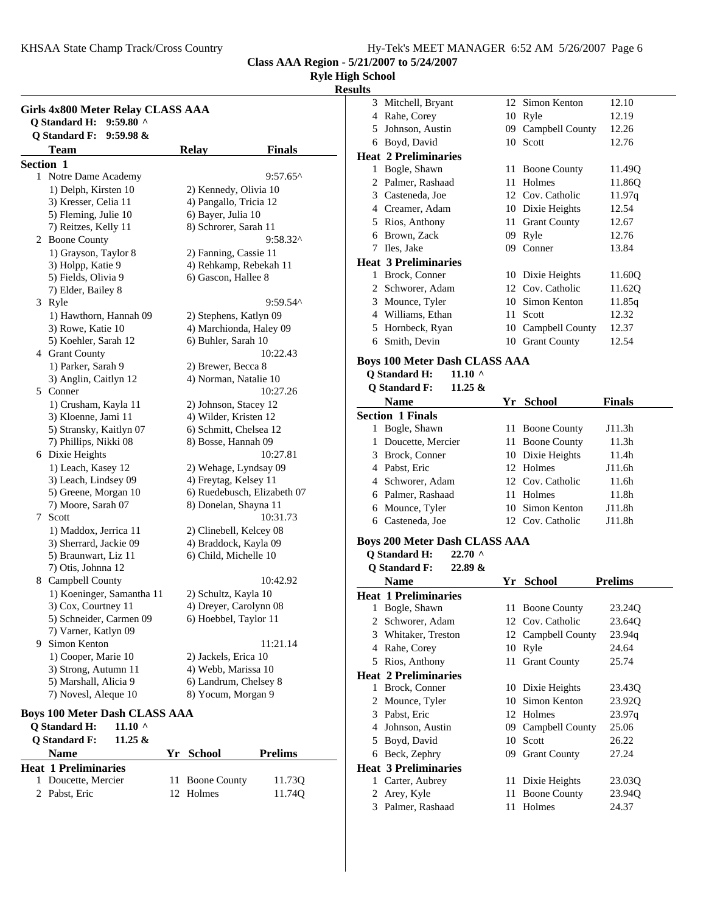KHSAA State Champ Track/Cross Country

| Hy-Tek's MEET MANAGER 6:52 AM 5/26/2007 Page 6 |  |  |
|------------------------------------------------|--|--|
|------------------------------------------------|--|--|

**Class AAA Region - 5/21/2007 to 5/24/2007**

**Ryle High School**

**Results**

|           | Girls 4x800 Meter Relay CLASS AAA<br><b>Q</b> Standard H:<br>$9:59.80$ ^ |    |                                               |                |
|-----------|--------------------------------------------------------------------------|----|-----------------------------------------------|----------------|
|           | <b>Q</b> Standard F:<br>9:59.98 &                                        |    |                                               |                |
|           | <b>Team</b>                                                              |    | <b>Relay</b>                                  | <b>Finals</b>  |
| Section 1 |                                                                          |    |                                               |                |
| 1         | Notre Dame Academy                                                       |    |                                               | 9:57.65^       |
|           | 1) Delph, Kirsten 10                                                     |    | 2) Kennedy, Olivia 10                         |                |
|           | 3) Kresser, Celia 11                                                     |    | 4) Pangallo, Tricia 12                        |                |
|           | 5) Fleming, Julie 10                                                     |    | 6) Bayer, Julia 10                            |                |
|           | 7) Reitzes, Kelly 11                                                     |    | 8) Schrorer, Sarah 11                         | 9:58.32^       |
|           | 2 Boone County                                                           |    |                                               |                |
|           | 1) Grayson, Taylor 8<br>3) Holpp, Katie 9                                |    | 2) Fanning, Cassie 11                         |                |
|           | 5) Fields, Olivia 9                                                      |    | 4) Rehkamp, Rebekah 11<br>6) Gascon, Hallee 8 |                |
|           | 7) Elder, Bailey 8                                                       |    |                                               |                |
| 3         | Ryle                                                                     |    |                                               | 9:59.54^       |
|           | 1) Hawthorn, Hannah 09                                                   |    | 2) Stephens, Katlyn 09                        |                |
|           | 3) Rowe, Katie 10                                                        |    | 4) Marchionda, Haley 09                       |                |
|           | 5) Koehler, Sarah 12                                                     |    | 6) Buhler, Sarah 10                           |                |
|           | 4 Grant County                                                           |    |                                               | 10:22.43       |
|           | 1) Parker, Sarah 9                                                       |    | 2) Brewer, Becca 8                            |                |
|           | 3) Anglin, Caitlyn 12                                                    |    | 4) Norman, Natalie 10                         |                |
|           | 5 Conner                                                                 |    |                                               | 10:27.26       |
|           | 1) Crusham, Kayla 11                                                     |    | 2) Johnson, Stacey 12                         |                |
|           | 3) Kloenne, Jami 11                                                      |    | 4) Wilder, Kristen 12                         |                |
|           | 5) Stransky, Kaitlyn 07                                                  |    | 6) Schmitt, Chelsea 12                        |                |
|           | 7) Phillips, Nikki 08                                                    |    | 8) Bosse, Hannah 09                           |                |
| 6         | Dixie Heights                                                            |    |                                               | 10:27.81       |
|           | 1) Leach, Kasey 12                                                       |    | 2) Wehage, Lyndsay 09                         |                |
|           | 3) Leach, Lindsey 09                                                     |    | 4) Freytag, Kelsey 11                         |                |
|           | 5) Greene, Morgan 10                                                     |    | 6) Ruedebusch, Elizabeth 07                   |                |
|           | 7) Moore, Sarah 07                                                       |    | 8) Donelan, Shayna 11                         |                |
| 7         | Scott                                                                    |    |                                               | 10:31.73       |
|           | 1) Maddox, Jerrica 11                                                    |    | 2) Clinebell, Kelcey 08                       |                |
|           | 3) Sherrard, Jackie 09                                                   |    | 4) Braddock, Kayla 09                         |                |
|           | 5) Braunwart, Liz 11                                                     |    | 6) Child, Michelle 10                         |                |
|           | 7) Otis, Johnna 12                                                       |    |                                               |                |
| 8         | Campbell County                                                          |    |                                               | 10:42.92       |
|           | 1) Koeninger, Samantha 11                                                |    | 2) Schultz, Kayla 10                          |                |
|           | 3) Cox, Courtney 11                                                      |    | 4) Dreyer, Carolynn 08                        |                |
|           | 5) Schneider, Carmen 09                                                  |    | 6) Hoebbel, Taylor 11                         |                |
|           | 7) Varner, Katlyn 09                                                     |    |                                               |                |
|           | 9 Simon Kenton                                                           |    |                                               | 11:21.14       |
|           | 1) Cooper, Marie 10                                                      |    | 2) Jackels, Erica 10                          |                |
|           | 3) Strong, Autumn 11                                                     |    | 4) Webb, Marissa 10                           |                |
|           | 5) Marshall, Alicia 9                                                    |    | 6) Landrum, Chelsey 8                         |                |
|           | 7) Novesl, Aleque 10                                                     |    | 8) Yocum, Morgan 9                            |                |
|           | <b>Boys 100 Meter Dash CLASS AAA</b>                                     |    |                                               |                |
|           | <b>Q</b> Standard H:<br>$11.10$ ^                                        |    |                                               |                |
|           | <b>Q</b> Standard F:<br>11.25 &                                          |    |                                               |                |
|           | <b>Name</b>                                                              |    | Yr School                                     | <b>Prelims</b> |
|           | <b>Heat 1 Preliminaries</b>                                              |    |                                               |                |
|           | 1 Doucette, Mercier                                                      | 11 | <b>Boone County</b>                           | 11.73Q         |

2 11.74Q Pabst, Eric 12 Holmes

| Mitchell, Bryant<br>3<br>4 Rahe, Corey<br>5 Johnson, Austin<br>6 Boyd, David<br><b>Heat 2 Preliminaries</b> | 12  | Simon Kenton                            |                  |  |
|-------------------------------------------------------------------------------------------------------------|-----|-----------------------------------------|------------------|--|
|                                                                                                             |     |                                         | 12.10            |  |
|                                                                                                             |     | 10 Ryle                                 | 12.19            |  |
|                                                                                                             |     | 09 Campbell County                      | 12.26            |  |
|                                                                                                             |     | 10 Scott                                | 12.76            |  |
|                                                                                                             |     |                                         |                  |  |
| 1 Bogle, Shawn                                                                                              | 11. | <b>Boone County</b>                     | 11.49Q           |  |
| 2 Palmer, Rashaad                                                                                           |     | 11 Holmes                               | 11.86Q           |  |
| 3 Casteneda, Joe                                                                                            |     | 12 Cov. Catholic                        | 11.97q           |  |
| 4 Creamer, Adam                                                                                             |     | 10 Dixie Heights                        | 12.54            |  |
| 5 Rios, Anthony                                                                                             |     | 11 Grant County                         | 12.67            |  |
| 6 Brown, Zack                                                                                               |     | 09 Ryle                                 | 12.76            |  |
| 7 Iles, Jake                                                                                                |     | 09 Conner                               | 13.84            |  |
| <b>Heat 3 Preliminaries</b>                                                                                 |     |                                         |                  |  |
| 1 Brock, Conner                                                                                             |     | 10 Dixie Heights                        | 11.60Q           |  |
| 2 Schworer, Adam                                                                                            |     | 12 Cov. Catholic                        | 11.62Q           |  |
| 3 Mounce, Tyler                                                                                             |     | 10 Simon Kenton                         | 11.85q           |  |
| 4 Williams, Ethan                                                                                           |     | 11 Scott                                | 12.32            |  |
| 5 Hornbeck, Ryan                                                                                            |     | 10 Campbell County                      | 12.37            |  |
| 6 Smith, Devin                                                                                              |     | 10 Grant County                         | 12.54            |  |
| <b>Boys 100 Meter Dash CLASS AAA</b>                                                                        |     |                                         |                  |  |
| <b>Q</b> Standard H:<br>11.10 $\land$                                                                       |     |                                         |                  |  |
| <b>Q</b> Standard F:<br>$11.25 \&$                                                                          |     |                                         |                  |  |
|                                                                                                             |     |                                         |                  |  |
|                                                                                                             |     |                                         |                  |  |
| <b>Name</b>                                                                                                 |     | Yr School                               | <b>Finals</b>    |  |
| <b>Section 1 Finals</b><br>1 Bogle, Shawn                                                                   |     | 11 Boone County                         | J11.3h           |  |
| Doucette, Mercier<br>1                                                                                      |     | 11 Boone County                         | 11.3h            |  |
| 3 Brock, Conner                                                                                             |     |                                         | 11.4h            |  |
| 4 Pabst, Eric                                                                                               |     | 10 Dixie Heights<br>12 Holmes           | J11.6h           |  |
| 4 Schworer, Adam                                                                                            |     | 12 Cov. Catholic                        | 11.6h            |  |
| 6 Palmer, Rashaad                                                                                           |     | 11 Holmes                               | 11.8h            |  |
| 6 Mounce, Tyler                                                                                             |     | 10 Simon Kenton                         | J11.8h           |  |
| 6 Casteneda, Joe                                                                                            |     | 12 Cov. Catholic                        | J11.8h           |  |
|                                                                                                             |     |                                         |                  |  |
| <b>Boys 200 Meter Dash CLASS AAA</b>                                                                        |     |                                         |                  |  |
| <b>Q</b> Standard H:<br>22.70 ^                                                                             |     |                                         |                  |  |
| <b>Q</b> Standard F:<br>22.89 &                                                                             |     |                                         |                  |  |
| <b>Name</b>                                                                                                 | Yr  | <b>School</b>                           | <b>Prelims</b>   |  |
| <b>Heat 1 Preliminaries</b>                                                                                 | 11  |                                         |                  |  |
| 1 Bogle, Shawn<br>Schworer, Adam<br>2                                                                       |     | <b>Boone County</b><br>12 Cov. Catholic | 23.24Q<br>23.64Q |  |

#### 5 Rios, Anthony 11 Grant County 25.74 **Heat 2 Preliminaries**

| пеат <i>2</i> Premminaries  |                    |                    |
|-----------------------------|--------------------|--------------------|
| 1 Brock, Conner             | 10 Dixie Heights   | 23.43 <sub>O</sub> |
| 2 Mounce, Tyler             | 10 Simon Kenton    | 23.920             |
| 3 Pabst, Eric               | 12 Holmes          | 23.97q             |
| 4 Johnson, Austin           | 09 Campbell County | 25.06              |
| 5 Boyd, David               | 10 Scott           | 26.22              |
| 6 Beck, Zephry              | 09 Grant County    | 27.24              |
| <b>Heat 3 Preliminaries</b> |                    |                    |
| 1 Carter, Aubrey            | 11 Dixie Heights   | 23.03O             |
| 2 Arey, Kyle                | 11 Boone County    | 23.940             |
| 3 Palmer, Rashaad           | Holmes             | 24.37              |

4 24.64 Rahe, Corey 10 Ryle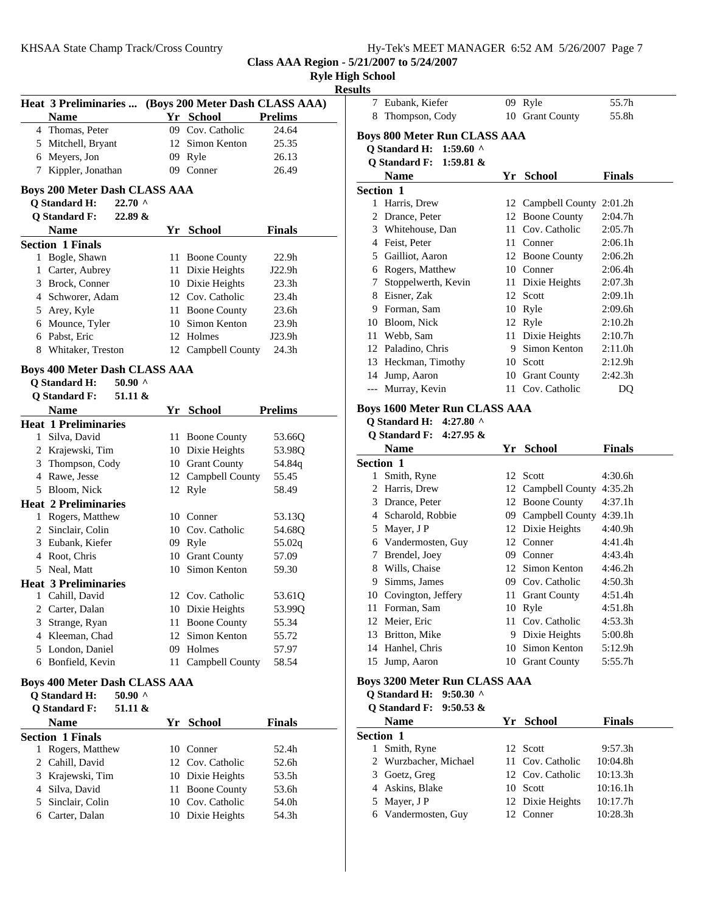# KHSAA State Champ Track/Cross Country

|  |  |  |  |  |  | Hy-Tek's MEET MANAGER 6:52 AM 5/26/2007 Page 7 |  |
|--|--|--|--|--|--|------------------------------------------------|--|
|--|--|--|--|--|--|------------------------------------------------|--|

**Class AAA Region - 5/21/2007 to 5/24/2007**

|   |                                                       |                    |                   | <b>Ryle High School</b><br><b>Results</b> |
|---|-------------------------------------------------------|--------------------|-------------------|-------------------------------------------|
|   | Heat 3 Preliminaries  (Boys 200 Meter Dash CLASS AAA) |                    |                   | 7 Eu                                      |
|   | <b>Name</b>                                           | Yr School          | <b>Prelims</b>    | 8<br>Th                                   |
|   | 4 Thomas, Peter                                       | 09 Cov. Catholic   | 24.64             | <b>Boys 80</b>                            |
|   | 5 Mitchell, Bryant                                    | 12 Simon Kenton    | 25.35             | Q Star                                    |
|   | 6 Meyers, Jon                                         | 09 Ryle            | 26.13             | Q Star                                    |
|   | 7 Kippler, Jonathan                                   | 09 Conner          | 26.49             | $N_i$                                     |
|   | <b>Boys 200 Meter Dash CLASS AAA</b>                  |                    |                   | <b>Section</b>                            |
|   | <b>Q</b> Standard H:<br>$22.70$ ^                     |                    |                   | 1 Ha                                      |
|   | <b>Q</b> Standard F:<br>22.89 &                       |                    |                   | $2$ Dr                                    |
|   | <b>Name</b>                                           | Yr School          | <b>Finals</b>     | 3 W                                       |
|   | <b>Section 1 Finals</b>                               |                    |                   | 4 Fe                                      |
|   | 1 Bogle, Shawn                                        | 11 Boone County    | 22.9 <sub>h</sub> | $5$ Ga                                    |
|   | 1 Carter, Aubrey                                      | 11 Dixie Heights   | J22.9h            | 6 Rc                                      |
|   | 3 Brock, Conner                                       | 10 Dixie Heights   | 23.3h             | 7 Sto                                     |
|   | 4 Schworer, Adam                                      | 12 Cov. Catholic   | 23.4h             | 8 Eis                                     |
|   | 5 Arey, Kyle                                          | 11 Boone County    | 23.6h             | 9 Fo                                      |
|   | 6 Mounce, Tyler                                       | 10 Simon Kenton    | 23.9h             | $10$ Bl                                   |
|   | 6 Pabst, Eric                                         | 12 Holmes          | J23.9h            | W<br>11                                   |
|   | 8 Whitaker, Treston                                   | 12 Campbell County | 24.3h             | 12 Pa                                     |
|   |                                                       |                    |                   | 13 He                                     |
|   | <b>Boys 400 Meter Dash CLASS AAA</b>                  |                    |                   | $14$ Ju                                   |
|   | <b>Q</b> Standard H:<br>50.90 $\land$                 |                    |                   | --- Mi                                    |
|   | <b>Q</b> Standard F:<br>51.11 &                       |                    |                   |                                           |
|   | <b>Name</b>                                           | Yr School          | <b>Prelims</b>    | <b>Boys 16</b>                            |
|   | <b>Heat 1 Preliminaries</b>                           |                    |                   | Q Star                                    |
|   | 1 Silva, David                                        | 11 Boone County    | 53.66Q            | Q Star                                    |
|   | 2 Krajewski, Tim                                      | 10 Dixie Heights   | 53.98Q            | $N_i$                                     |
|   | 3 Thompson, Cody                                      | 10 Grant County    | 54.84q            | <b>Section</b>                            |
|   | 4 Rawe, Jesse                                         | 12 Campbell County | 55.45             | 1 Sn                                      |
|   | 5 Bloom, Nick                                         | 12 Ryle            | 58.49             | $2$ Ha                                    |
|   | <b>Heat 2 Preliminaries</b>                           |                    |                   | 3 Dr                                      |
|   | 1 Rogers, Matthew                                     | 10 Conner          | 53.13Q            | 4 Sc                                      |
|   | 2 Sinclair, Colin                                     | 10 Cov. Catholic   | 54.68Q            | 5 M                                       |
|   | 3 Eubank, Kiefer                                      | 09 Ryle            | 55.02q            | $6 \text{V}a$                             |
|   | 4 Root, Chris                                         | 10 Grant County    | 57.09             | $7$ Br                                    |
|   | 5 Neal, Matt                                          | 10 Simon Kenton    | 59.30             | 8 W                                       |
|   | <b>Heat 3 Preliminaries</b>                           |                    |                   | 9 Sii                                     |
| 1 | Cahill, David                                         | 12 Cov. Catholic   | 53.61Q            | 10 Cc                                     |
|   | 2 Carter, Dalan                                       | 10 Dixie Heights   | 53.99Q            | 11 Fo                                     |
|   | 3 Strange, Ryan                                       | 11 Boone County    | 55.34             | 12 M                                      |
|   | 4 Kleeman, Chad                                       | 12 Simon Kenton    | 55.72             | 13 Br                                     |
|   | 5 London, Daniel                                      | 09 Holmes          | 57.97             | 14 Ha                                     |
|   | 6 Bonfield, Kevin                                     | 11 Campbell County | 58.54             | 15<br>Ju                                  |
|   | <b>Boys 400 Meter Dash CLASS AAA</b>                  |                    |                   | Boys 32                                   |
|   | <b>Q</b> Standard H:<br>$50.90$ ^                     |                    |                   | Q Star                                    |
|   | <b>Q</b> Standard F:<br>51.11 &                       |                    |                   | Q Star                                    |
|   | <b>Name</b>                                           | Yr School          | <b>Finals</b>     | N:                                        |
|   | <b>Section 1 Finals</b>                               |                    |                   | <b>Section</b>                            |
|   | 1 Rogers, Matthew                                     | 10 Conner          | 52.4h             | $\mathbf{1}$<br>Sn                        |
|   | 2 Cahill, David                                       | 12 Cov. Catholic   | 52.6h             | 2<br>$\mathbf{W}$                         |
|   | 3 Krajewski, Tim                                      | 10 Dixie Heights   | 53.5h             | $3$ Gc                                    |
|   | 4 Silva, David                                        | 11 Boone County    | 53.6h             | $4$ As                                    |
|   | 5 Sinclair, Colin                                     | 10 Cov. Catholic   | 54.0h             | 5 M                                       |
|   | 6 Carter, Dalan                                       | 10 Dixie Heights   | 54.3h             | $6 \text{V}a$                             |
|   |                                                       |                    |                   |                                           |

| ılts             |                                      |    |                               |                    |
|------------------|--------------------------------------|----|-------------------------------|--------------------|
| 7                | Eubank, Kiefer                       | 09 | Ryle                          | 55.7h              |
| 8                | Thompson, Cody                       | 10 | <b>Grant County</b>           | 55.8h              |
|                  | <b>Boys 800 Meter Run CLASS AAA</b>  |    |                               |                    |
|                  | Q Standard H: 1:59.60 ^              |    |                               |                    |
|                  | <b>Q</b> Standard F:<br>1:59.81 $\&$ |    |                               |                    |
|                  | <b>Name</b>                          |    | Yr School                     | <b>Finals</b>      |
| <b>Section 1</b> |                                      |    |                               |                    |
|                  | 1 Harris, Drew                       |    | 12 Campbell County 2:01.2h    |                    |
|                  | 2 Drance, Peter                      |    | 12 Boone County               | 2:04.7h            |
|                  | 3 Whitehouse, Dan                    |    | 11 Cov. Catholic              | 2:05.7h            |
|                  | 4 Feist, Peter                       |    | 11 Conner                     | 2:06.1h            |
|                  | 5 Gailliot, Aaron                    |    | 12 Boone County               | 2:06.2h            |
|                  | 6 Rogers, Matthew                    |    | 10 Conner                     | 2:06.4h            |
| 7                | Stoppelwerth, Kevin                  |    | 11 Dixie Heights              | 2:07.3h            |
|                  | 8 Eisner, Zak                        |    | 12 Scott                      | 2:09.1h            |
|                  | 9 Forman, Sam                        |    | 10 Ryle                       | 2:09.6h            |
|                  | 10 Bloom, Nick                       |    | 12 Ryle                       | 2:10.2h            |
|                  | 11 Webb, Sam                         |    | 11 Dixie Heights              | 2:10.7h            |
|                  | 12 Paladino, Chris                   |    | 9 Simon Kenton                | 2:11.0h            |
|                  | 13 Heckman, Timothy                  |    | 10 Scott                      | 2:12.9h            |
|                  | 14 Jump, Aaron                       |    | 10 Grant County               | 2:42.3h            |
|                  | --- Murray, Kevin                    |    | 11 Cov. Catholic              | DQ                 |
|                  | <b>Boys 1600 Meter Run CLASS AAA</b> |    |                               |                    |
|                  | Q Standard H: 4:27.80 ^              |    |                               |                    |
|                  | <b>Q</b> Standard F:<br>4:27.95 $&$  |    |                               |                    |
|                  | <b>Name</b>                          |    | Yr School                     | <b>Finals</b>      |
| <b>Section 1</b> |                                      |    |                               |                    |
| 1                | Smith, Ryne                          |    | 12 Scott                      | 4:30.6h            |
|                  | 2 Harris, Drew                       |    | 12 Campbell County 4:35.2h    |                    |
|                  | 3 Drance, Peter                      |    | 12 Boone County               | 4:37.1h            |
|                  | 4 Scharold, Robbie                   |    | 09 Campbell County 4:39.1h    |                    |
|                  | 5 Mayer, J P<br>6 Vandermosten, Guy  |    | 12 Dixie Heights<br>12 Conner | 4:40.9h<br>4:41.4h |
| 7                | Brendel, Joey                        |    | 09 Conner                     | 4:43.4h            |
| 8                | Wills, Chaise                        |    | 12 Simon Kenton               | 4:46.2h            |
| 9.               | Simms, James                         |    | 09 Cov. Catholic              | 4:50.3h            |
|                  | 10 Covington, Jeffery                |    | 11 Grant County               | 4:51.4h            |
|                  | 11 Forman, Sam                       |    | 10 Ryle                       | 4:51.8h            |
|                  | 12 Meier, Eric                       | 11 | Cov. Catholic                 | 4:53.3h            |
|                  | 13 Britton, Mike                     |    | 9 Dixie Heights               | 5:00.8h            |
|                  | 14 Hanhel, Chris                     |    | 10 Simon Kenton               | 5:12.9h            |
|                  | 15 Jump, Aaron                       |    | 10 Grant County               | 5:55.7h            |
|                  |                                      |    |                               |                    |
|                  | <b>Boys 3200 Meter Run CLASS AAA</b> |    |                               |                    |
|                  | Q Standard H: 9:50.30 ^              |    |                               |                    |
|                  | <b>Q</b> Standard F:<br>$9:50.53 \&$ |    |                               | <b>Finals</b>      |
| <b>Section 1</b> | <b>Name</b>                          |    | Yr School                     |                    |
| $\mathbf{1}$     | Smith, Ryne                          | 12 | Scott                         | 9:57.3h            |
|                  | 2 Wurzbacher, Michael                | 11 | Cov. Catholic                 | 10:04.8h           |
|                  | 3 Goetz, Greg                        |    | 12 Cov. Catholic              | 10:13.3h           |
| 4                | Askins, Blake                        |    | 10 Scott                      | 10:16.1h           |
| 5                | Mayer, J P                           | 12 | Dixie Heights                 | 10:17.7h           |
|                  | 6 Vandermosten, Guy                  | 12 | Conner                        | 10:28.3h           |
|                  |                                      |    |                               |                    |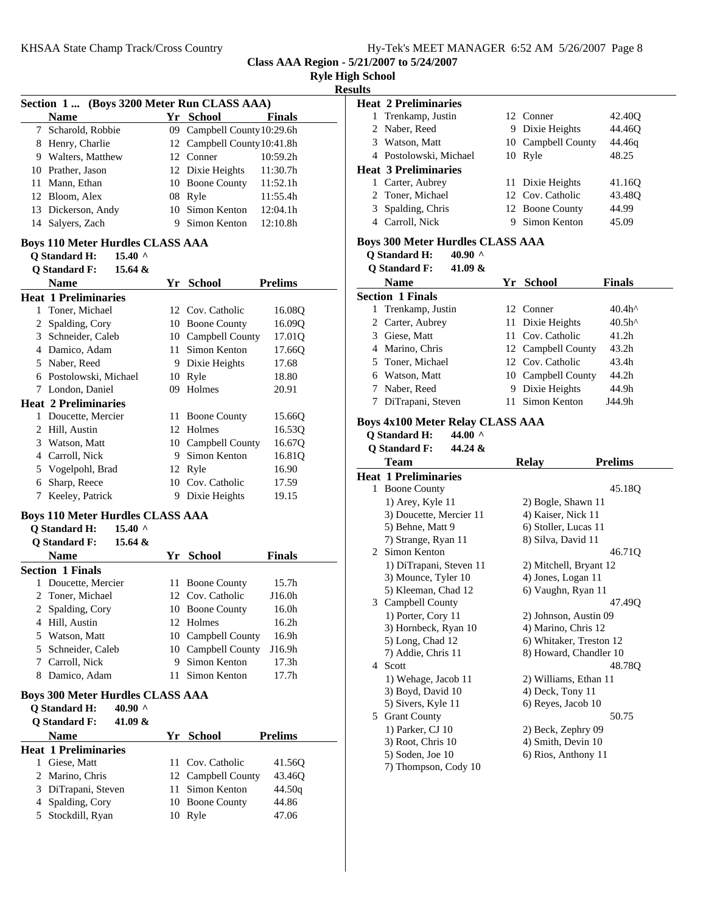**Class AAA Region - 5/21/2007 to 5/24/2007**

|  |  | <b>Ryle High School</b> |
|--|--|-------------------------|
|--|--|-------------------------|

**Results**<br>**Head** 

|   | Section 1  (Boys 3200 Meter Run CLASS AAA) |      |                             |                   |  |
|---|--------------------------------------------|------|-----------------------------|-------------------|--|
|   | <b>Name</b>                                |      | Yr School                   | <b>Finals</b>     |  |
|   | 7 Scharold, Robbie                         |      | 09 Campbell County 10:29.6h |                   |  |
|   | 8 Henry, Charlie                           |      | 12 Campbell County 10:41.8h |                   |  |
|   | 9 Walters, Matthew                         |      | 12 Conner                   | 10:59.2h          |  |
|   | 10 Prather, Jason                          |      | 12 Dixie Heights            | 11:30.7h          |  |
|   | 11 Mann, Ethan                             |      | 10 Boone County             | 11:52.1h          |  |
|   | 12 Bloom, Alex                             | 08   | Ryle                        | 11:55.4h          |  |
|   | 13 Dickerson, Andy                         | 10   | Simon Kenton                | 12:04.1h          |  |
|   | 14 Salyers, Zach                           | 9.   | Simon Kenton                | 12:10.8h          |  |
|   | <b>Boys 110 Meter Hurdles CLASS AAA</b>    |      |                             |                   |  |
|   | <b>Q</b> Standard H:<br>$15.40$ ^          |      |                             |                   |  |
|   | <b>Q</b> Standard F:<br>15.64 $\&$         |      |                             |                   |  |
|   | <b>Name</b>                                |      | Yr School                   | <b>Prelims</b>    |  |
|   | <b>Heat 1 Preliminaries</b>                |      |                             |                   |  |
|   | 1 Toner, Michael                           |      | 12 Cov. Catholic            | 16.08Q            |  |
|   | 2 Spalding, Cory                           |      | 10 Boone County             | 16.09Q            |  |
|   | 3 Schneider, Caleb                         |      | 10 Campbell County          | 17.01Q            |  |
|   | 4 Damico, Adam                             | 11 - | Simon Kenton                | 17.66Q            |  |
|   | 5 Naber, Reed                              |      | 9 Dixie Heights             | 17.68             |  |
|   | 6 Postolowski, Michael                     |      | 10 Ryle                     | 18.80             |  |
|   | 7 London, Daniel                           | 09   | Holmes                      | 20.91             |  |
|   | <b>Heat 2 Preliminaries</b>                |      |                             |                   |  |
|   | 1 Doucette, Mercier                        |      | 11 Boone County             | 15.66Q            |  |
|   | 2 Hill, Austin                             |      | 12 Holmes                   | 16.53Q            |  |
|   | 3 Watson, Matt                             |      | 10 Campbell County          | 16.67Q            |  |
|   | 4 Carroll, Nick                            |      | 9 Simon Kenton              | 16.81Q            |  |
|   | 5 Vogelpohl, Brad                          |      | 12 Ryle                     | 16.90             |  |
|   | 6 Sharp, Reece                             |      | 10 Cov. Catholic            | 17.59             |  |
|   | 7 Keeley, Patrick                          |      | 9 Dixie Heights             | 19.15             |  |
|   | <b>Boys 110 Meter Hurdles CLASS AAA</b>    |      |                             |                   |  |
|   | <b>Q</b> Standard H:<br>$15.40$ ^          |      |                             |                   |  |
|   | <b>Q</b> Standard F:<br>15.64 &            |      |                             |                   |  |
|   | <b>Name</b>                                |      | Yr School                   | <b>Finals</b>     |  |
|   | <b>Section 1 Finals</b>                    |      |                             |                   |  |
|   | 1 Doucette, Mercier                        |      | 11 Boone County             | 15.7 <sub>h</sub> |  |
| 2 | Toner, Michael                             |      | 12 Cov. Catholic            | J16.0h            |  |
|   | 2 Spalding, Cory                           |      | 10 Boone County             | 16.0h             |  |
|   | 4 Hill, Austin                             |      | 12 Holmes                   | 16.2 <sub>h</sub> |  |
|   | 5 Watson, Matt                             |      | 10 Campbell County          | 16.9h             |  |
|   | 5 Schneider, Caleb                         |      | 10 Campbell County          | J16.9h            |  |
|   | 7 Carroll, Nick                            | 9.   | Simon Kenton                | 17.3 <sub>h</sub> |  |
|   | 8 Damico, Adam                             | 11   | Simon Kenton                | 17.7h             |  |
|   | <b>Boys 300 Meter Hurdles CLASS AAA</b>    |      |                             |                   |  |
|   | <b>Q</b> Standard H:<br>40.90 $^{\circ}$   |      |                             |                   |  |
|   | <b>Q</b> Standard F:<br>41.09 &            |      |                             |                   |  |
|   | <b>Name</b>                                |      | Yr School                   | <b>Prelims</b>    |  |
|   | <b>Heat 1 Preliminaries</b>                |      |                             |                   |  |
|   | 1 Giese, Matt                              | 11   | Cov. Catholic               | 41.56Q            |  |
|   | 2 Marino, Chris                            |      | 12 Campbell County          | 43.46Q            |  |
|   | 3 DiTrapani, Steven                        | 11   | Simon Kenton                | 44.50q            |  |
|   | 4 Spalding, Cory                           |      | 10 Boone County             | 44.86             |  |
| 5 | Stockdill, Ryan                            |      | 10 Ryle                     | 47.06             |  |

|   | <b>Heat 2 Preliminaries</b>                                     |     |                         |                   |
|---|-----------------------------------------------------------------|-----|-------------------------|-------------------|
|   | 1 Trenkamp, Justin                                              |     | 12 Conner               | 42.40Q            |
|   | 2 Naber, Reed                                                   |     | 9 Dixie Heights         | 44.46Q            |
|   | 3 Watson, Matt                                                  |     | 10 Campbell County      | 44.46q            |
|   | 4 Postolowski, Michael                                          |     | 10 Ryle                 | 48.25             |
|   | <b>Heat 3 Preliminaries</b>                                     |     |                         |                   |
|   | 1 Carter, Aubrey                                                | 11  | Dixie Heights           | 41.16Q            |
|   | 2 Toner, Michael                                                |     | 12 Cov. Catholic        | 43.48Q            |
|   | 3 Spalding, Chris                                               |     | 12 Boone County         | 44.99             |
|   | 4 Carroll, Nick                                                 | 9.  | Simon Kenton            | 45.09             |
|   |                                                                 |     |                         |                   |
|   | <b>Boys 300 Meter Hurdles CLASS AAA</b>                         |     |                         |                   |
|   | <b>Q</b> Standard H:<br>40.90 $\land$                           |     |                         |                   |
|   | <b>Q</b> Standard F:<br>41.09 &                                 |     |                         |                   |
|   | <b>Name</b>                                                     |     | Yr School               | Finals            |
|   | <b>Section 1 Finals</b>                                         |     |                         |                   |
|   | 1 Trenkamp, Justin                                              |     | 12 Conner               | 40.4h^            |
|   | 2 Carter, Aubrey                                                | 11- | Dixie Heights           | 40.5h^            |
|   | 3 Giese, Matt                                                   |     | 11 Cov. Catholic        | 41.2 <sub>h</sub> |
|   | 4 Marino, Chris                                                 |     | 12 Campbell County      | 43.2h             |
|   | 5 Toner, Michael                                                |     | 12 Cov. Catholic        | 43.4h             |
|   | 6 Watson, Matt                                                  |     | 10 Campbell County      | 44.2h             |
|   | 7 Naber, Reed                                                   | 9.  | Dixie Heights           | 44.9h             |
|   | 7 DiTrapani, Steven                                             | 11  | Simon Kenton            | J44.9h            |
|   |                                                                 |     |                         |                   |
|   | <b>Boys 4x100 Meter Relay CLASS AAA</b><br><b>Q</b> Standard H: |     |                         |                   |
|   | 44.00 $\land$                                                   |     |                         |                   |
|   |                                                                 |     |                         |                   |
|   | <b>Q</b> Standard F:<br>44.24 &                                 |     |                         |                   |
|   | <b>Team</b>                                                     |     | <b>Relay</b>            | <b>Prelims</b>    |
|   | <b>Heat 1 Preliminaries</b>                                     |     |                         |                   |
|   | 1 Boone County                                                  |     |                         | 45.18Q            |
|   | 1) Arey, Kyle 11                                                |     | 2) Bogle, Shawn 11      |                   |
|   | 3) Doucette, Mercier 11                                         |     | 4) Kaiser, Nick 11      |                   |
|   | 5) Behne, Matt 9                                                |     | 6) Stoller, Lucas 11    |                   |
|   | 7) Strange, Ryan 11                                             |     | 8) Silva, David 11      |                   |
|   | 2 Simon Kenton                                                  |     |                         | 46.71Q            |
|   | 1) DiTrapani, Steven 11                                         |     | 2) Mitchell, Bryant 12  |                   |
|   | 3) Mounce, Tyler 10                                             |     | 4) Jones, Logan 11      |                   |
|   | 5) Kleeman, Chad 12                                             |     | 6) Vaughn, Ryan 11      |                   |
|   | 3 Campbell County                                               |     |                         | 47.49Q            |
|   | 1) Porter, Cory 11                                              |     | 2) Johnson, Austin 09   |                   |
|   | 3) Hornbeck, Ryan 10                                            |     | 4) Marino, Chris 12     |                   |
|   | 5) Long, Chad 12                                                |     | 6) Whitaker, Treston 12 |                   |
| 4 | 7) Addie, Chris 11                                              |     | 8) Howard, Chandler 10  |                   |
|   | Scott                                                           |     |                         | 48.78Q            |
|   | 1) Wehage, Jacob 11                                             |     | 2) Williams, Ethan 11   |                   |
|   | 3) Boyd, David 10                                               |     | 4) Deck, Tony 11        |                   |
|   | 5) Sivers, Kyle 11                                              |     | 6) Reyes, Jacob 10      |                   |
|   | 5 Grant County                                                  |     |                         | 50.75             |
|   | 1) Parker, CJ 10                                                |     | 2) Beck, Zephry 09      |                   |
|   | 3) Root, Chris 10                                               |     | 4) Smith, Devin 10      |                   |
|   | 5) Soden, Joe 10<br>7) Thompson, Cody 10                        |     | 6) Rios, Anthony 11     |                   |
|   |                                                                 |     |                         |                   |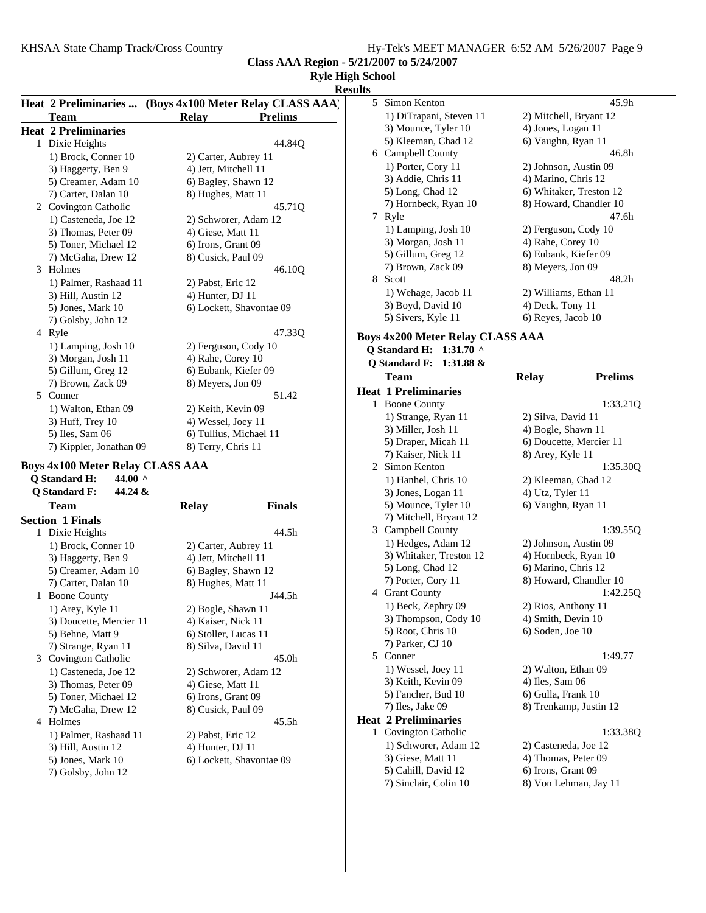**Class AAA Region - 5/21/2007 to 5/24/2007**

# **Ryle High School**

# **Results**

|   |                             |                          | Heat 2 Preliminaries  (Boys 4x100 Meter Relay CLASS AAA) |
|---|-----------------------------|--------------------------|----------------------------------------------------------|
|   | Team                        | <b>Relay</b>             | <b>Prelims</b>                                           |
|   | <b>Heat 2 Preliminaries</b> |                          |                                                          |
|   | 1 Dixie Heights             |                          | 44.84Q                                                   |
|   | 1) Brock, Conner 10         | 2) Carter, Aubrey 11     |                                                          |
|   | 3) Haggerty, Ben 9          | 4) Jett, Mitchell 11     |                                                          |
|   | 5) Creamer, Adam 10         | 6) Bagley, Shawn 12      |                                                          |
|   | 7) Carter, Dalan 10         | 8) Hughes, Matt 11       |                                                          |
|   | 2 Covington Catholic        |                          | 45.71 <sub>O</sub>                                       |
|   | 1) Casteneda, Joe 12        | 2) Schworer, Adam 12     |                                                          |
|   | 3) Thomas, Peter 09         | 4) Giese, Matt 11        |                                                          |
|   | 5) Toner, Michael 12        | 6) Irons, Grant 09       |                                                          |
|   | 7) McGaha, Drew 12          | 8) Cusick, Paul 09       |                                                          |
| 3 | Holmes                      |                          | 46.10O                                                   |
|   | 1) Palmer, Rashaad 11       | 2) Pabst, Eric 12        |                                                          |
|   | 3) Hill, Austin 12          | 4) Hunter, DJ 11         |                                                          |
|   | 5) Jones, Mark 10           | 6) Lockett, Shavontae 09 |                                                          |
|   | 7) Golsby, John 12          |                          |                                                          |
| 4 | Ryle                        |                          | 47.330                                                   |
|   | 1) Lamping, Josh 10         | 2) Ferguson, Cody 10     |                                                          |
|   | 3) Morgan, Josh 11          | 4) Rahe, Corey 10        |                                                          |
|   | 5) Gillum, Greg 12          | 6) Eubank, Kiefer 09     |                                                          |
|   | 7) Brown, Zack 09           | 8) Meyers, Jon 09        |                                                          |
| 5 | Conner                      |                          | 51.42                                                    |
|   | 1) Walton, Ethan 09         | 2) Keith, Kevin 09       |                                                          |
|   | 3) Huff, Trey 10            | 4) Wessel, Joey 11       |                                                          |
|   | 5) Iles, Sam 06             | 6) Tullius, Michael 11   |                                                          |
|   | 7) Kippler, Jonathan 09     | 8) Terry, Chris 11       |                                                          |

## **Boys 4x100 Meter Relay CLASS AAA**

| 44.00 $\land$<br><b>Q</b> Standard H: |                          |
|---------------------------------------|--------------------------|
| <b>Q</b> Standard F:<br>44.24 &       |                          |
| Team                                  | Finals<br><b>Relay</b>   |
| <b>Section 1 Finals</b>               |                          |
| Dixie Heights<br>1                    | 44.5h                    |
| 1) Brock, Conner 10                   | 2) Carter, Aubrey 11     |
| 3) Haggerty, Ben 9                    | 4) Jett, Mitchell 11     |
| 5) Creamer, Adam 10                   | 6) Bagley, Shawn 12      |
| 7) Carter, Dalan 10                   | 8) Hughes, Matt 11       |
| <b>Boone County</b><br>1              | J44.5h                   |
| 1) Arey, Kyle 11                      | 2) Bogle, Shawn 11       |
| 3) Doucette, Mercier 11               | 4) Kaiser, Nick 11       |
| 5) Behne, Matt 9                      | 6) Stoller, Lucas 11     |
| 7) Strange, Ryan 11                   | 8) Silva, David 11       |
| 3 Covington Catholic                  | 45.0h                    |
| 1) Casteneda, Joe 12                  | 2) Schworer, Adam 12     |
| 3) Thomas, Peter 09                   | 4) Giese, Matt 11        |
| 5) Toner, Michael 12                  | 6) Irons, Grant 09       |
| 7) McGaha, Drew 12                    | 8) Cusick, Paul 09       |
| Holmes<br>4                           | 45.5h                    |
| 1) Palmer, Rashaad 11                 | 2) Pabst, Eric 12        |
| 3) Hill, Austin 12                    | 4) Hunter, DJ 11         |
| 5) Jones, Mark 10                     | 6) Lockett, Shavontae 09 |
| 7) Golsby, John 12                    |                          |

| 5 Simon Kenton          | 45.9h                   |
|-------------------------|-------------------------|
| 1) DiTrapani, Steven 11 | 2) Mitchell, Bryant 12  |
| 3) Mounce, Tyler 10     | 4) Jones, Logan 11      |
| 5) Kleeman, Chad 12     | 6) Vaughn, Ryan 11      |
| 6 Campbell County       | 46.8h                   |
| 1) Porter, Cory 11      | 2) Johnson, Austin 09   |
| 3) Addie, Chris 11      | 4) Marino, Chris 12     |
| 5) Long, Chad 12        | 6) Whitaker, Treston 12 |
| 7) Hornbeck, Ryan 10    | 8) Howard, Chandler 10  |
| Ryle<br>7               | 47.6h                   |
| 1) Lamping, Josh 10     | 2) Ferguson, Cody 10    |
| 3) Morgan, Josh 11      | 4) Rahe, Corey 10       |
| 5) Gillum, Greg 12      | 6) Eubank, Kiefer 09    |
| 7) Brown, Zack 09       | 8) Meyers, Jon 09       |
| 8<br>Scott              | 48.2h                   |
| 1) Wehage, Jacob 11     | 2) Williams, Ethan 11   |
| 3) Boyd, David 10       | 4) Deck, Tony 11        |
| 5) Sivers, Kyle 11      | 6) Reyes, Jacob 10      |

#### **Boys 4x200 Meter Relay CLASS AAA**

**Q Standard H: 1:31.70 ^**

| Q Standard F: $1:31.88 \&$ |       |         |
|----------------------------|-------|---------|
| Team                       | Relay | Prolime |

| 1 саш                       | INC14 у<br>т тепшр      |  |
|-----------------------------|-------------------------|--|
| <b>Heat 1 Preliminaries</b> |                         |  |
| 1 Boone County              | 1:33.21Q                |  |
| 1) Strange, Ryan 11         | 2) Silva, David 11      |  |
| 3) Miller, Josh 11          | 4) Bogle, Shawn 11      |  |
| 5) Draper, Micah 11         | 6) Doucette, Mercier 11 |  |
| 7) Kaiser, Nick 11          | 8) Arey, Kyle 11        |  |
| 2 Simon Kenton              | 1:35.300                |  |
| 1) Hanhel, Chris 10         | 2) Kleeman, Chad 12     |  |
| 3) Jones, Logan 11          | 4) Utz, Tyler 11        |  |
| 5) Mounce, Tyler 10         | 6) Vaughn, Ryan 11      |  |
| 7) Mitchell, Bryant 12      |                         |  |
| 3 Campbell County           | 1:39.55Q                |  |
| 1) Hedges, Adam 12          | 2) Johnson, Austin 09   |  |
| 3) Whitaker, Treston 12     | 4) Hornbeck, Ryan 10    |  |
| 5) Long, Chad 12            | 6) Marino, Chris 12     |  |
| 7) Porter, Cory 11          | 8) Howard, Chandler 10  |  |
| 4 Grant County              | 1:42.25Q                |  |
| 1) Beck, Zephry 09          | 2) Rios, Anthony 11     |  |
| 3) Thompson, Cody 10        | 4) Smith, Devin 10      |  |
| 5) Root, Chris 10           | 6) Soden, Joe 10        |  |
| 7) Parker, CJ 10            |                         |  |
| 5 Conner                    | 1:49.77                 |  |
| 1) Wessel, Joey 11          | 2) Walton, Ethan 09     |  |
| 3) Keith, Kevin 09          | 4) Iles, Sam 06         |  |
| 5) Fancher, Bud 10          | 6) Gulla, Frank 10      |  |
| 7) Iles, Jake 09            | 8) Trenkamp, Justin 12  |  |
| <b>Heat 2 Preliminaries</b> |                         |  |
| 1 Covington Catholic        | 1:33.380                |  |
| 1) Schworer, Adam 12        | 2) Casteneda, Joe 12    |  |
| 3) Giese, Matt 11           | 4) Thomas, Peter 09     |  |
| 5) Cahill, David 12         | 6) Irons, Grant 09      |  |
| 7) Sinclair, Colin 10       | 8) Von Lehman, Jay 11   |  |
|                             |                         |  |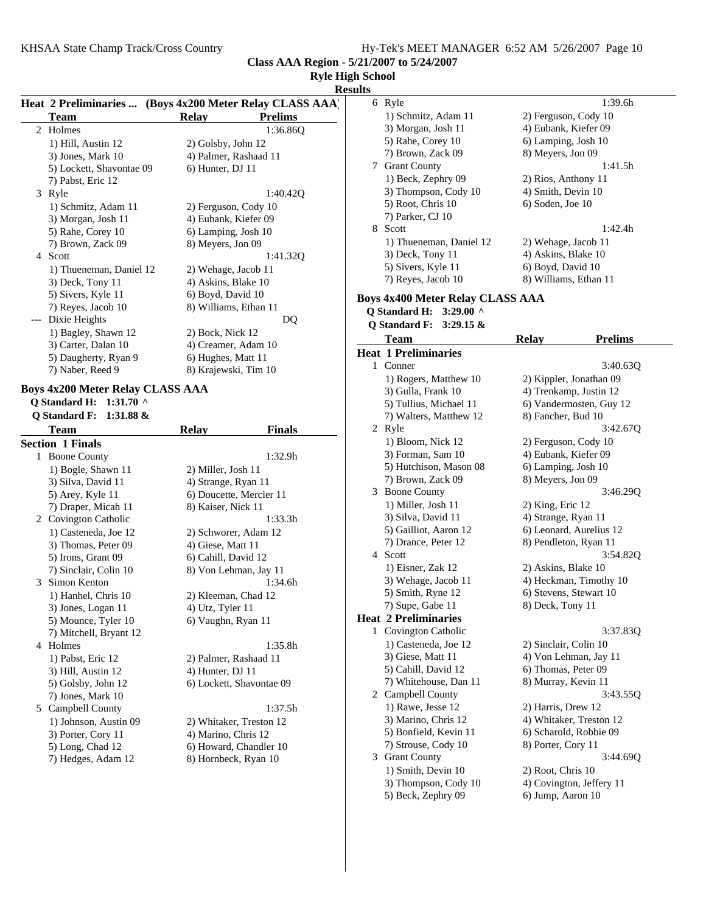**Class AAA Region - 5/21/2007 to 5/24/2007**

# **Ryle High School**

**Results**

|     | Heat 2 Preliminaries  (Boys 4x200 Meter Relay CLASS AAA)<br><b>Team</b> | <b>Relay</b> |                          | <b>Prelims</b> | results<br>6            |
|-----|-------------------------------------------------------------------------|--------------|--------------------------|----------------|-------------------------|
| 2   | Holmes                                                                  |              |                          | 1:36.860       |                         |
|     | 1) Hill, Austin 12                                                      |              | 2) Golsby, John 12       |                |                         |
|     | 3) Jones, Mark 10                                                       |              | 4) Palmer, Rashaad 11    |                |                         |
|     | 5) Lockett, Shavontae 09                                                |              | 6) Hunter, DJ 11         |                | 7                       |
|     | 7) Pabst, Eric 12                                                       |              |                          |                |                         |
|     | 3 Ryle                                                                  |              |                          | 1:40.42Q       |                         |
|     | 1) Schmitz, Adam 11                                                     |              | 2) Ferguson, Cody 10     |                |                         |
|     | 3) Morgan, Josh 11                                                      |              | 4) Eubank, Kiefer 09     |                |                         |
|     | 5) Rahe, Corey 10                                                       |              | 6) Lamping, Josh 10      |                | 8                       |
|     | 7) Brown, Zack 09                                                       |              | 8) Meyers, Jon 09        |                |                         |
|     | 4 Scott                                                                 |              |                          | 1:41.32Q       |                         |
|     | 1) Thueneman, Daniel 12                                                 |              | 2) Wehage, Jacob 11      |                |                         |
|     | 3) Deck, Tony 11                                                        |              | 4) Askins, Blake 10      |                |                         |
|     | 5) Sivers, Kyle 11                                                      |              | 6) Boyd, David 10        |                | <b>Boys</b>             |
|     | 7) Reyes, Jacob 10                                                      |              | 8) Williams, Ethan 11    |                | Q.                      |
| --- | Dixie Heights                                                           |              |                          | DQ             | Q                       |
|     | 1) Bagley, Shawn 12                                                     |              | 2) Bock, Nick 12         |                |                         |
|     | 3) Carter, Dalan 10                                                     |              | 4) Creamer, Adam 10      |                |                         |
|     | 5) Daugherty, Ryan 9                                                    |              | 6) Hughes, Matt 11       |                | Hea                     |
|     | 7) Naber, Reed 9                                                        |              | 8) Krajewski, Tim 10     |                | 1                       |
|     | <b>Boys 4x200 Meter Relay CLASS AAA</b>                                 |              |                          |                |                         |
|     | Q Standard H: 1:31.70 ^                                                 |              |                          |                |                         |
|     | <b>Q</b> Standard F:<br>1:31.88 $&$                                     |              |                          |                |                         |
|     | Team                                                                    | <b>Relay</b> |                          | <b>Finals</b>  | $\overline{\mathbf{c}}$ |
|     | <b>Section 1 Finals</b>                                                 |              |                          |                |                         |
|     | 1 Boone County                                                          |              |                          | 1:32.9h        |                         |
|     | 1) Bogle, Shawn 11                                                      |              | 2) Miller, Josh 11       |                |                         |
|     | 3) Silva, David 11                                                      |              | 4) Strange, Ryan 11      |                |                         |
|     | 5) Arey, Kyle 11                                                        |              | 6) Doucette, Mercier 11  |                | 3                       |
|     | 7) Draper, Micah 11                                                     |              | 8) Kaiser, Nick 11       |                |                         |
|     | 2 Covington Catholic                                                    |              |                          | 1:33.3h        |                         |
|     | 1) Casteneda, Joe 12                                                    |              | 2) Schworer, Adam 12     |                |                         |
|     | 3) Thomas, Peter 09                                                     |              | 4) Giese, Matt 11        |                |                         |
|     | 5) Irons, Grant 09                                                      |              | 6) Cahill, David 12      |                | 4                       |
|     | 7) Sinclair, Colin 10                                                   |              | 8) Von Lehman, Jay 11    |                |                         |
|     | 3 Simon Kenton                                                          |              |                          | 1:34.6h        |                         |
|     | 1) Hanhel, Chris 10                                                     |              | 2) Kleeman, Chad 12      |                |                         |
|     | 3) Jones, Logan 11                                                      |              | 4) Utz, Tyler 11         |                |                         |
|     | 5) Mounce, Tyler 10                                                     |              | 6) Vaughn, Ryan 11       |                | Hea                     |
|     | 7) Mitchell, Bryant 12                                                  |              |                          |                | 1                       |
|     | 4 Holmes                                                                |              |                          | 1:35.8h        |                         |
|     | 1) Pabst, Eric 12                                                       |              | 2) Palmer, Rashaad 11    |                |                         |
|     | 3) Hill, Austin 12                                                      |              | 4) Hunter, DJ 11         |                |                         |
|     | 5) Golsby, John 12                                                      |              | 6) Lockett, Shavontae 09 |                |                         |
|     | 7) Jones, Mark 10                                                       |              |                          |                | 2                       |
|     | 5 Campbell County                                                       |              |                          | 1:37.5h        |                         |
|     | 1) Johnson, Austin 09                                                   |              | 2) Whitaker, Treston 12  |                |                         |
|     | 3) Porter, Cory 11                                                      |              | 4) Marino, Chris 12      |                |                         |
|     | 5) Long, Chad 12                                                        |              | 6) Howard, Chandler 10   |                |                         |
|     | 7) Hedges, Adam 12                                                      |              | 8) Hornbeck, Ryan 10     |                | 3                       |
|     |                                                                         |              |                          |                |                         |

| і эспооі<br>ılts |                                              |                                              |
|------------------|----------------------------------------------|----------------------------------------------|
| 6                | Ryle                                         | 1:39.6h                                      |
|                  | 1) Schmitz, Adam 11                          | 2) Ferguson, Cody 10                         |
|                  | 3) Morgan, Josh 11                           | 4) Eubank, Kiefer 09                         |
|                  | 5) Rahe, Corey 10                            | 6) Lamping, Josh 10                          |
|                  | 7) Brown, Zack 09                            | 8) Meyers, Jon 09                            |
| 7                | <b>Grant County</b>                          | 1:41.5h                                      |
|                  | 1) Beck, Zephry 09                           | 2) Rios, Anthony 11                          |
|                  | 3) Thompson, Cody 10                         | 4) Smith, Devin 10                           |
|                  | 5) Root, Chris 10                            | 6) Soden, Joe 10                             |
|                  | 7) Parker, CJ 10                             |                                              |
| 8                | Scott                                        | 1:42.4h                                      |
|                  | 1) Thueneman, Daniel 12                      | 2) Wehage, Jacob 11                          |
|                  | 3) Deck, Tony 11                             | 4) Askins, Blake 10                          |
|                  | 5) Sivers, Kyle 11                           | 6) Boyd, David 10                            |
|                  | 7) Reyes, Jacob 10                           | 8) Williams, Ethan 11                        |
|                  | Boys 4x400 Meter Relay CLASS AAA             |                                              |
|                  | <b>Q</b> Standard H:<br>$3:29.00$ ^          |                                              |
|                  | <b>Q</b> Standard F:<br>$3:29.15 \&$         |                                              |
|                  | <b>Team</b>                                  | Relav<br><b>Prelims</b>                      |
|                  | <b>Heat 1 Preliminaries</b>                  |                                              |
| 1                | Conner                                       | 3:40.63Q                                     |
|                  | 1) Rogers, Matthew 10                        | 2) Kippler, Jonathan 09                      |
|                  | 3) Gulla, Frank 10                           | 4) Trenkamp, Justin 12                       |
|                  | 5) Tullius, Michael 11                       | 6) Vandermosten, Guy 12                      |
|                  | 7) Walters, Matthew 12                       | 8) Fancher, Bud 10                           |
|                  | 2 Ryle                                       | 3:42.67Q                                     |
|                  | 1) Bloom, Nick 12                            | 2) Ferguson, Cody 10                         |
|                  | 3) Forman, Sam 10                            | 4) Eubank, Kiefer 09                         |
|                  | 5) Hutchison, Mason 08<br>7) Brown, Zack 09  | 6) Lamping, Josh 10<br>8) Meyers, Jon 09     |
| 3                | <b>Boone County</b>                          | 3:46.29Q                                     |
|                  | 1) Miller, Josh 11                           | 2) King, Eric 12                             |
|                  | 3) Silva, David 11                           | 4) Strange, Ryan 11                          |
|                  | 5) Gailliot, Aaron 12                        | 6) Leonard, Aurelius 12                      |
|                  | 7) Drance, Peter 12                          | 8) Pendleton, Ryan 11                        |
| 4                | Scott                                        | 3:54.82Q                                     |
|                  | 1) Eisner, Zak 12                            | 2) Askins, Blake 10                          |
|                  | 3) Wehage, Jacob 11                          | 4) Heckman, Timothy 10                       |
|                  | 5) Smith, Ryne 12                            | 6) Stevens, Stewart 10                       |
|                  | 7) Supe, Gabe 11                             | 8) Deck, Tony 11                             |
|                  | <b>Heat 2 Preliminaries</b>                  |                                              |
| 1                | Covington Catholic                           | 3:37.83Q                                     |
|                  | 1) Casteneda, Joe 12                         | 2) Sinclair, Colin 10                        |
|                  | 3) Giese, Matt 11                            | 4) Von Lehman, Jay 11                        |
|                  | 5) Cahill, David 12                          | 6) Thomas, Peter 09                          |
|                  | 7) Whitehouse, Dan 11                        | 8) Murray, Kevin 11                          |
|                  | 2 Campbell County                            | 3:43.55Q                                     |
|                  | 1) Rawe, Jesse 12                            | 2) Harris, Drew 12                           |
|                  | 3) Marino, Chris 12                          | 4) Whitaker, Treston 12                      |
|                  | 5) Bonfield, Kevin 11<br>7) Strouse, Cody 10 | 6) Scharold, Robbie 09<br>8) Porter, Cory 11 |
|                  |                                              |                                              |
| 3                | <b>Grant County</b><br>1) Smith, Devin 10    | 3:44.69Q<br>2) Root, Chris 10                |
|                  | 3) Thompson, Cody 10                         | 4) Covington, Jeffery 11                     |
|                  | 5) Beck, Zephry 09                           | 6) Jump, Aaron 10                            |
|                  |                                              |                                              |
|                  |                                              |                                              |